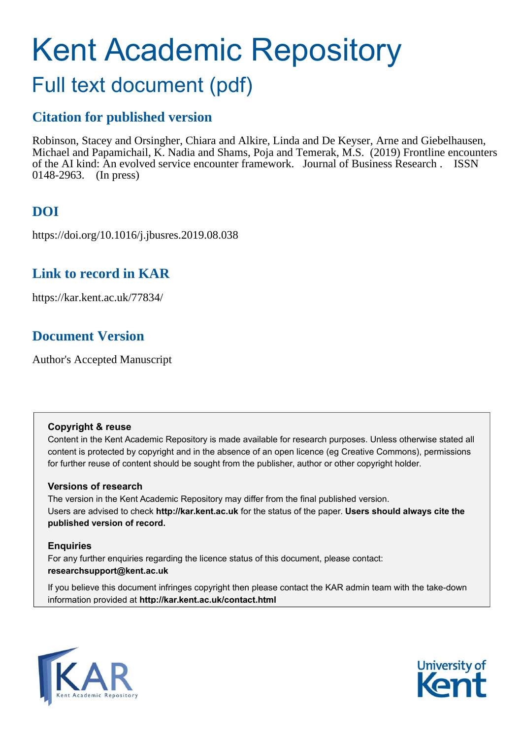# Kent Academic Repository Full text document (pdf)

## **Citation for published version**

Robinson, Stacey and Orsingher, Chiara and Alkire, Linda and De Keyser, Arne and Giebelhausen, Michael and Papamichail, K. Nadia and Shams, Poja and Temerak, M.S. (2019) Frontline encounters of the AI kind: An evolved service encounter framework. Journal of Business Research . ISSN 0148-2963. (In press)

## **DOI**

https://doi.org/10.1016/j.jbusres.2019.08.038

## **Link to record in KAR**

https://kar.kent.ac.uk/77834/

## **Document Version**

Author's Accepted Manuscript

### **Copyright & reuse**

Content in the Kent Academic Repository is made available for research purposes. Unless otherwise stated all content is protected by copyright and in the absence of an open licence (eg Creative Commons), permissions for further reuse of content should be sought from the publisher, author or other copyright holder.

### **Versions of research**

The version in the Kent Academic Repository may differ from the final published version. Users are advised to check **http://kar.kent.ac.uk** for the status of the paper. **Users should always cite the published version of record.**

### **Enquiries**

For any further enquiries regarding the licence status of this document, please contact: **researchsupport@kent.ac.uk**

If you believe this document infringes copyright then please contact the KAR admin team with the take-down information provided at **http://kar.kent.ac.uk/contact.html**



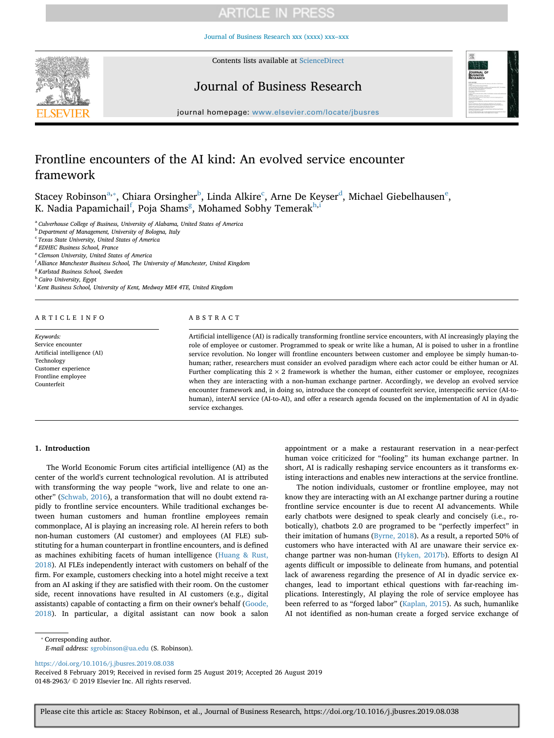[Journal of Business Research xxx \(xxxx\) xxx–xxx](https://doi.org/10.1016/j.jbusres.2019.08.038)



Contents lists available at [ScienceDirect](http://www.sciencedirect.com/science/journal/01482963)

### Journal of Business Research



journal homepage: [www.elsevier.com/locate/jbusres](https://www.elsevier.com/locate/jbusres)

## Frontline encounters of the AI kind: An evolved service encounter framework

Stacey Robinson $^{\rm a, *},$  Chiara Orsingher $^{\rm b}$ , Linda Alkire $^{\rm c}$ , Arne De Keyser $^{\rm d}$ , Michael Giebelhausen $^{\rm e}$ , K. Nadia Papamichail $^{\rm f}$ , Poja Shams $^{\rm g}$ , Mohamed Sobhy Temerak $^{\rm h,i}$ 

<sup>a</sup> *Culverhouse College of Business, University of Alabama, United States of America*

<sup>b</sup> *Department of Management, University of Bologna, Italy*

<sup>c</sup> *Texas State University, United States of America*

<sup>d</sup> *EDHEC Business School, France*

<sup>e</sup> *Clemson University, United States of America*

f *Alliance Manchester Business School, The University of Manchester, United Kingdom*

<sup>g</sup> *Karlstad Business School, Sweden*

<sup>h</sup> *Cairo University, Egypt*

i *Kent Business School, University of Kent, Medway ME4 4TE, United Kingdom*

### ARTICLE INFO

*Keywords:* Service encounter Artificial intelligence (AI) Technology Customer experience Frontline employee Counterfeit

### ABSTRACT

Artificial intelligence (AI) is radically transforming frontline service encounters, with AI increasingly playing the role of employee or customer. Programmed to speak or write like a human, AI is poised to usher in a frontline service revolution. No longer will frontline encounters between customer and employee be simply human-tohuman; rather, researchers must consider an evolved paradigm where each actor could be either human or AI. Further complicating this  $2 \times 2$  framework is whether the human, either customer or employee, recognizes when they are interacting with a non-human exchange partner. Accordingly, we develop an evolved service encounter framework and, in doing so, introduce the concept of counterfeit service, interspecific service (AI-tohuman), interAI service (AI-to-AI), and offer a research agenda focused on the implementation of AI in dyadic service exchanges.

#### **1. Introduction**

The World Economic Forum cites artificial intelligence (AI) as the center of the world's current technological revolution. AI is attributed with transforming the way people "work, live and relate to one another" (Schwab, 2016), a transformation that will no doubt extend rapidly to frontline service encounters. While traditional exchanges between human customers and human frontline employees remain commonplace, AI is playing an increasing role. AI herein refers to both non-human customers (AI customer) and employees (AI FLE) substituting for a human counterpart in frontline encounters, and is defined as machines exhibiting facets of human intelligence (Huang & Rust, 2018). AI FLEs independently interact with customers on behalf of the firm. For example, customers checking into a hotel might receive a text from an AI asking if they are satisfied with their room. On the customer side, recent innovations have resulted in AI customers (e.g., digital assistants) capable of contacting a firm on their owner's behalf (Goode, 2018). In particular, a digital assistant can now book a salon appointment or a make a restaurant reservation in a near-perfect human voice criticized for "fooling" its human exchange partner. In short, AI is radically reshaping service encounters as it transforms existing interactions and enables new interactions at the service frontline.

The notion individuals, customer or frontline employee, may not know they are interacting with an AI exchange partner during a routine frontline service encounter is due to recent AI advancements. While early chatbots were designed to speak clearly and concisely (i.e., robotically), chatbots 2.0 are programed to be "perfectly imperfect" in their imitation of humans (Byrne, 2018). As a result, a reported 50% of customers who have interacted with AI are unaware their service exchange partner was non-human (Hyken, 2017b). Efforts to design AI agents difficult or impossible to delineate from humans, and potential lack of awareness regarding the presence of AI in dyadic service exchanges, lead to important ethical questions with far-reaching implications. Interestingly, AI playing the role of service employee has been referred to as "forged labor" (Kaplan, 2015). As such, humanlike AI not identified as non-human create a forged service exchange of

⁎ Corresponding author.

*E-mail address:* [sgrobinson@ua.edu](mailto:sgrobinson@ua.edu) (S. Robinson).

<https://doi.org/10.1016/j.jbusres.2019.08.038>

Received 8 February 2019; Received in revised form 25 August 2019; Accepted 26 August 2019 0148-2963/ © 2019 Elsevier Inc. All rights reserved.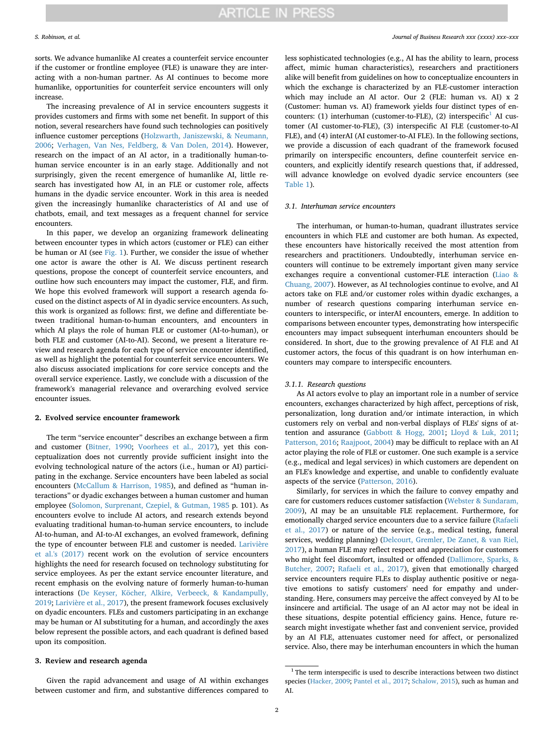sorts. We advance humanlike AI creates a counterfeit service encounter if the customer or frontline employee (FLE) is unaware they are interacting with a non-human partner. As AI continues to become more humanlike, opportunities for counterfeit service encounters will only increase.

The increasing prevalence of AI in service encounters suggests it provides customers and firms with some net benefit. In support of this notion, several researchers have found such technologies can positively influence customer perceptions (Holzwarth, Janiszewski, & Neumann, 2006; Verhagen, Van Nes, Feldberg, & Van Dolen, 2014). However, research on the impact of an AI actor, in a traditionally human-tohuman service encounter is in an early stage. Additionally and not surprisingly, given the recent emergence of humanlike AI, little research has investigated how AI, in an FLE or customer role, affects humans in the dyadic service encounter. Work in this area is needed given the increasingly humanlike characteristics of AI and use of chatbots, email, and text messages as a frequent channel for service encounters.

In this paper, we develop an organizing framework delineating between encounter types in which actors (customer or FLE) can either be human or AI (see Fig. 1). Further, we consider the issue of whether one actor is aware the other is AI. We discuss pertinent research questions, propose the concept of counterfeit service encounters, and outline how such encounters may impact the customer, FLE, and firm. We hope this evolved framework will support a research agenda focused on the distinct aspects of AI in dyadic service encounters. As such, this work is organized as follows: first, we define and differentiate between traditional human-to-human encounters, and encounters in which AI plays the role of human FLE or customer (AI-to-human), or both FLE and customer (AI-to-AI). Second, we present a literature review and research agenda for each type of service encounter identified, as well as highlight the potential for counterfeit service encounters. We also discuss associated implications for core service concepts and the overall service experience. Lastly, we conclude with a discussion of the framework's managerial relevance and overarching evolved service encounter issues.

### **2. Evolved service encounter framework**

The term "service encounter" describes an exchange between a firm and customer (Bitner, 1990; Voorhees et al., 2017), yet this conceptualization does not currently provide sufficient insight into the evolving technological nature of the actors (i.e., human or AI) participating in the exchange. Service encounters have been labeled as social encounters (McCallum & Harrison, 1985), and defined as "human interactions" or dyadic exchanges between a human customer and human employee (Solomon, Surprenant, Czepiel, & Gutman, 1985 p. 101). As encounters evolve to include AI actors, and research extends beyond evaluating traditional human-to-human service encounters, to include AI-to-human, and AI-to-AI exchanges, an evolved framework, defining the type of encounter between FLE and customer is needed. Larivière et al.'s (2017) recent work on the evolution of service encounters highlights the need for research focused on technology substituting for service employees. As per the extant service encounter literature, and recent emphasis on the evolving nature of formerly human-to-human interactions (De Keyser, Köcher, Alkire, Verbeeck, & Kandampully, 2019; Larivière et al., 2017), the present framework focuses exclusively on dyadic encounters. FLEs and customers participating in an exchange may be human or AI substituting for a human, and accordingly the axes below represent the possible actors, and each quadrant is defined based upon its composition.

### **3. Review and research agenda**

Given the rapid advancement and usage of AI within exchanges between customer and firm, and substantive differences compared to less sophisticated technologies (e.g., AI has the ability to learn, process affect, mimic human characteristics), researchers and practitioners alike will benefit from guidelines on how to conceptualize encounters in which the exchange is characterized by an FLE-customer interaction which may include an AI actor. Our 2 (FLE: human vs. AI) x 2 (Customer: human vs. AI) framework yields four distinct types of encounters: (1) interhuman (customer-to-FLE), (2) interspecific<sup>1</sup> AI customer (AI customer-to-FLE), (3) interspecific AI FLE (customer-to-AI FLE), and (4) interAI (AI customer-to-AI FLE). In the following sections, we provide a discussion of each quadrant of the framework focused primarily on interspecific encounters, define counterfeit service encounters, and explicitly identify research questions that, if addressed, will advance knowledge on evolved dyadic service encounters (see Table 1).

#### *3.1. Interhuman service encounters*

The interhuman, or human-to-human, quadrant illustrates service encounters in which FLE and customer are both human. As expected, these encounters have historically received the most attention from researchers and practitioners. Undoubtedly, interhuman service encounters will continue to be extremely important given many service exchanges require a conventional customer-FLE interaction (Liao & Chuang, 2007). However, as AI technologies continue to evolve, and AI actors take on FLE and/or customer roles within dyadic exchanges, a number of research questions comparing interhuman service encounters to interspecific, or interAI encounters, emerge. In addition to comparisons between encounter types, demonstrating how interspecific encounters may impact subsequent interhuman encounters should be considered. In short, due to the growing prevalence of AI FLE and AI customer actors, the focus of this quadrant is on how interhuman encounters may compare to interspecific encounters.

#### *3.1.1. Research questions*

As AI actors evolve to play an important role in a number of service encounters, exchanges characterized by high affect, perceptions of risk, personalization, long duration and/or intimate interaction, in which customers rely on verbal and non-verbal displays of FLEs' signs of attention and assurance (Gabbott & Hogg, 2001; Lloyd & Luk, 2011; Patterson, 2016; Raajpoot, 2004) may be difficult to replace with an AI actor playing the role of FLE or customer. One such example is a service (e.g., medical and legal services) in which customers are dependent on an FLE's knowledge and expertise, and unable to confidently evaluate aspects of the service (Patterson, 2016).

Similarly, for services in which the failure to convey empathy and care for customers reduces customer satisfaction (Webster & Sundaram, 2009), AI may be an unsuitable FLE replacement. Furthermore, for emotionally charged service encounters due to a service failure (Rafaeli et al., 2017) or nature of the service (e.g., medical testing, funeral services, wedding planning) (Delcourt, Gremler, De Zanet, & van Riel, 2017), a human FLE may reflect respect and appreciation for customers who might feel discomfort, insulted or offended (Dallimore, Sparks, & Butcher, 2007; Rafaeli et al., 2017), given that emotionally charged service encounters require FLEs to display authentic positive or negative emotions to satisfy customers' need for empathy and understanding. Here, consumers may perceive the affect conveyed by AI to be insincere and artificial. The usage of an AI actor may not be ideal in these situations, despite potential efficiency gains. Hence, future research might investigate whether fast and convenient service, provided by an AI FLE, attenuates customer need for affect, or personalized service. Also, there may be interhuman encounters in which the human

 $^{\rm 1}$  The term interspecific is used to describe interactions between two distinct species (Hacker, 2009; Pantel et al., 2017; Schalow, 2015), such as human and AI.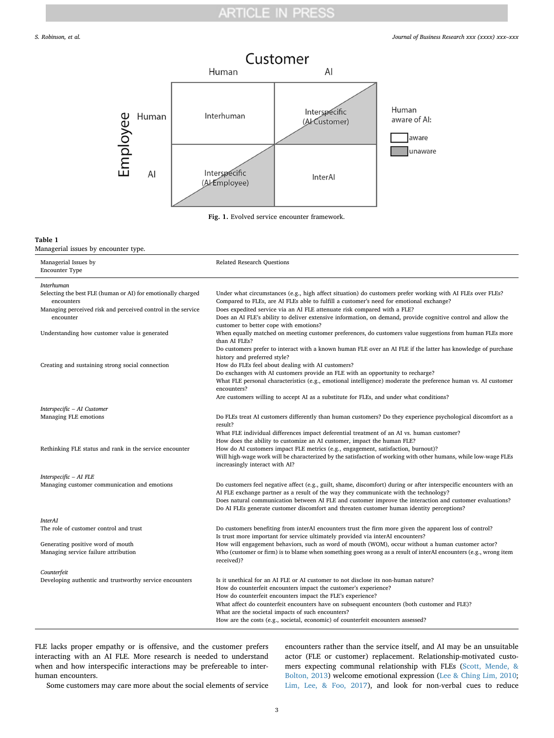

**Fig. 1.** Evolved service encounter framework.

### **Table 1**

Managerial issues by encounter type.

| Managerial Issues by<br><b>Encounter Type</b>                                                   | <b>Related Research Questions</b>                                                                                                                                                                                                                                                                                                                                                                                    |
|-------------------------------------------------------------------------------------------------|----------------------------------------------------------------------------------------------------------------------------------------------------------------------------------------------------------------------------------------------------------------------------------------------------------------------------------------------------------------------------------------------------------------------|
|                                                                                                 |                                                                                                                                                                                                                                                                                                                                                                                                                      |
| <b>Interhuman</b><br>Selecting the best FLE (human or AI) for emotionally charged<br>encounters | Under what circumstances (e.g., high affect situation) do customers prefer working with AI FLEs over FLEs?<br>Compared to FLEs, are AI FLEs able to fulfill a customer's need for emotional exchange?                                                                                                                                                                                                                |
| Managing perceived risk and perceived control in the service<br>encounter                       | Does expedited service via an AI FLE attenuate risk compared with a FLE?<br>Does an AI FLE's ability to deliver extensive information, on demand, provide cognitive control and allow the<br>customer to better cope with emotions?                                                                                                                                                                                  |
| Understanding how customer value is generated                                                   | When equally matched on meeting customer preferences, do customers value suggestions from human FLEs more<br>than AI FLEs?                                                                                                                                                                                                                                                                                           |
|                                                                                                 | Do customers prefer to interact with a known human FLE over an AI FLE if the latter has knowledge of purchase<br>history and preferred style?                                                                                                                                                                                                                                                                        |
| Creating and sustaining strong social connection                                                | How do FLEs feel about dealing with AI customers?                                                                                                                                                                                                                                                                                                                                                                    |
|                                                                                                 | Do exchanges with AI customers provide an FLE with an opportunity to recharge?<br>What FLE personal characteristics (e.g., emotional intelligence) moderate the preference human vs. AI customer<br>encounters?                                                                                                                                                                                                      |
|                                                                                                 | Are customers willing to accept AI as a substitute for FLEs, and under what conditions?                                                                                                                                                                                                                                                                                                                              |
| Interspecific - AI Customer                                                                     |                                                                                                                                                                                                                                                                                                                                                                                                                      |
| Managing FLE emotions                                                                           | Do FLEs treat AI customers differently than human customers? Do they experience psychological discomfort as a<br>result?                                                                                                                                                                                                                                                                                             |
|                                                                                                 | What FLE individual differences impact deferential treatment of an AI vs. human customer?                                                                                                                                                                                                                                                                                                                            |
|                                                                                                 | How does the ability to customize an AI customer, impact the human FLE?                                                                                                                                                                                                                                                                                                                                              |
| Rethinking FLE status and rank in the service encounter                                         | How do AI customers impact FLE metrics (e.g., engagement, satisfaction, burnout)?<br>Will high-wage work will be characterized by the satisfaction of working with other humans, while low-wage FLEs<br>increasingly interact with AI?                                                                                                                                                                               |
| Interspecific - AI FLE                                                                          |                                                                                                                                                                                                                                                                                                                                                                                                                      |
| Managing customer communication and emotions                                                    | Do customers feel negative affect (e.g., guilt, shame, discomfort) during or after interspecific encounters with an<br>AI FLE exchange partner as a result of the way they communicate with the technology?<br>Does natural communication between AI FLE and customer improve the interaction and customer evaluations?<br>Do AI FLEs generate customer discomfort and threaten customer human identity perceptions? |
| <b>InterAI</b>                                                                                  |                                                                                                                                                                                                                                                                                                                                                                                                                      |
| The role of customer control and trust                                                          | Do customers benefiting from interAI encounters trust the firm more given the apparent loss of control?<br>Is trust more important for service ultimately provided via interAI encounters?                                                                                                                                                                                                                           |
| Generating positive word of mouth<br>Managing service failure attribution                       | How will engagement behaviors, such as word of mouth (WOM), occur without a human customer actor?<br>Who (customer or firm) is to blame when something goes wrong as a result of interAI encounters (e.g., wrong item<br>received)?                                                                                                                                                                                  |
| Counterfeit<br>Developing authentic and trustworthy service encounters                          | Is it unethical for an AI FLE or AI customer to not disclose its non-human nature?<br>How do counterfeit encounters impact the customer's experience?<br>How do counterfeit encounters impact the FLE's experience?<br>What affect do counterfeit encounters have on subsequent encounters (both customer and FLE)?<br>What are the societal impacts of such encounters?                                             |
|                                                                                                 | How are the costs (e.g., societal, economic) of counterfeit encounters assessed?                                                                                                                                                                                                                                                                                                                                     |

FLE lacks proper empathy or is offensive, and the customer prefers interacting with an AI FLE. More research is needed to understand when and how interspecific interactions may be prefereable to interhuman encounters.

Some customers may care more about the social elements of service

encounters rather than the service itself, and AI may be an unsuitable actor (FLE or customer) replacement. Relationship-motivated customers expecting communal relationship with FLEs (Scott, Mende, & Bolton, 2013) welcome emotional expression (Lee & Ching Lim, 2010; Lim, Lee, & Foo, 2017), and look for non-verbal cues to reduce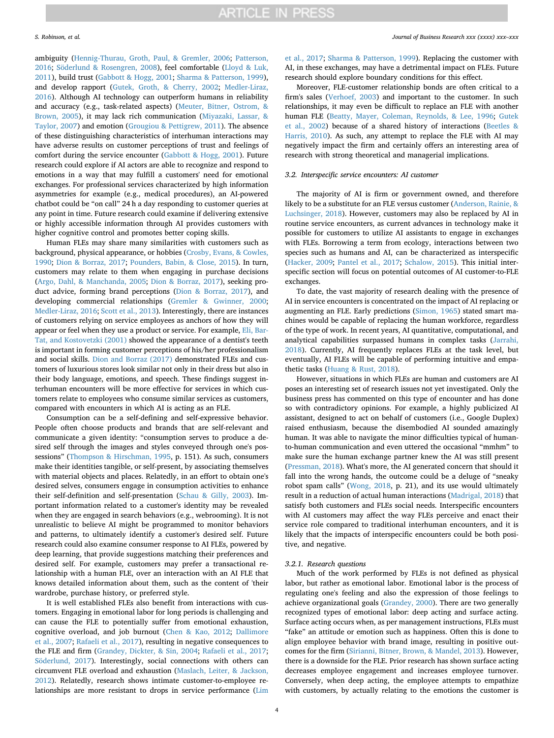ambiguity (Hennig-Thurau, Groth, Paul, & Gremler, 2006; Patterson, 2016; Söderlund & Rosengren, 2008), feel comfortable (Lloyd & Luk, 2011), build trust (Gabbott & Hogg, 2001; Sharma & Patterson, 1999), and develop rapport (Gutek, Groth, & Cherry, 2002; Medler-Liraz, 2016). Although AI technology can outperform humans in reliability and accuracy (e.g., task-related aspects) (Meuter, Bitner, Ostrom, & Brown, 2005), it may lack rich communication (Miyazaki, Lassar, & Taylor, 2007) and emotion (Grougiou & Pettigrew, 2011). The absence of these distinguishing characteristics of interhuman interactions may have adverse results on customer perceptions of trust and feelings of comfort during the service encounter (Gabbott & Hogg, 2001). Future research could explore if AI actors are able to recognize and respond to emotions in a way that may fulfill a customers' need for emotional exchanges. For professional services characterized by high information asymmetries for example (e.g., medical procedures), an AI-powered chatbot could be "on call" 24 h a day responding to customer queries at any point in time. Future research could examine if delivering extensive or highly accessible information through AI provides customers with higher cognitive control and promotes better coping skills.

Human FLEs may share many similarities with customers such as background, physical appearance, or hobbies (Crosby, Evans, & Cowles, 1990; Dion & Borraz, 2017; Pounders, Babin, & Close, 2015). In turn, customers may relate to them when engaging in purchase decisions (Argo, Dahl, & Manchanda, 2005; Dion & Borraz, 2017), seeking product advice, forming brand perceptions (Dion & Borraz, 2017), and developing commercial relationships (Gremler & Gwinner, 2000; Medler-Liraz, 2016; Scott et al., 2013). Interestingly, there are instances of customers relying on service employees as anchors of how they will appear or feel when they use a product or service. For example, Eli, Bar-Tat, and Kostovetzki (2001) showed the appearance of a dentist's teeth is important in forming customer perceptions of his/her professionalism and social skills. Dion and Borraz (2017) demonstrated FLEs and customers of luxurious stores look similar not only in their dress but also in their body language, emotions, and speech. These findings suggest interhuman encounters will be more effective for services in which customers relate to employees who consume similar services as customers, compared with encounters in which AI is acting as an FLE.

Consumption can be a self-defining and self-expressive behavior. People often choose products and brands that are self-relevant and communicate a given identity: "consumption serves to produce a desired self through the images and styles conveyed through one's possessions" (Thompson & Hirschman, 1995, p. 151). As such, consumers make their identities tangible, or self-present, by associating themselves with material objects and places. Relatedly, in an effort to obtain one's desired selves, consumers engage in consumption activities to enhance their self-definition and self-presentation (Schau & Gilly, 2003). Important information related to a customer's identity may be revealed when they are engaged in search behaviors (e.g., webrooming). It is not unrealistic to believe AI might be programmed to monitor behaviors and patterns, to ultimately identify a customer's desired self. Future research could also examine consumer response to AI FLEs, powered by deep learning, that provide suggestions matching their preferences and desired self. For example, customers may prefer a transactional relationship with a human FLE, over an interaction with an AI FLE that knows detailed information about them, such as the content of 'their wardrobe, purchase history, or preferred style.

It is well established FLEs also benefit from interactions with customers. Engaging in emotional labor for long periods is challenging and can cause the FLE to potentially suffer from emotional exhaustion, cognitive overload, and job burnout (Chen & Kao, 2012; Dallimore et al., 2007; Rafaeli et al., 2017), resulting in negative consequences to the FLE and firm (Grandey, Dickter, & Sin, 2004; Rafaeli et al., 2017; Söderlund, 2017). Interestingly, social connections with others can circumvent FLE overload and exhaustion (Maslach, Leiter, & Jackson, 2012). Relatedly, research shows intimate customer-to-employee relationships are more resistant to drops in service performance (Lim

et al., 2017; Sharma & Patterson, 1999). Replacing the customer with AI, in these exchanges, may have a detrimental impact on FLEs. Future research should explore boundary conditions for this effect.

Moreover, FLE-customer relationship bonds are often critical to a firm's sales (Verhoef, 2003) and important to the customer. In such relationships, it may even be difficult to replace an FLE with another human FLE (Beatty, Mayer, Coleman, Reynolds, & Lee, 1996; Gutek et al., 2002) because of a shared history of interactions (Beetles & Harris, 2010). As such, any attempt to replace the FLE with AI may negatively impact the firm and certainly offers an interesting area of research with strong theoretical and managerial implications.

#### *3.2. Interspecific service encounters: AI customer*

The majority of AI is firm or government owned, and therefore likely to be a substitute for an FLE versus customer (Anderson, Rainie, & Luchsinger, 2018). However, customers may also be replaced by AI in routine service encounters, as current advances in technology make it possible for customers to utilize AI assistants to engage in exchanges with FLEs. Borrowing a term from ecology, interactions between two species such as humans and AI, can be characterized as interspecific (Hacker, 2009; Pantel et al., 2017; Schalow, 2015). This initial interspecific section will focus on potential outcomes of AI customer-to-FLE exchanges.

To date, the vast majority of research dealing with the presence of AI in service encounters is concentrated on the impact of AI replacing or augmenting an FLE. Early predictions (Simon, 1965) stated smart machines would be capable of replacing the human workforce, regardless of the type of work. In recent years, AI quantitative, computational, and analytical capabilities surpassed humans in complex tasks (Jarrahi, 2018). Currently, AI frequently replaces FLEs at the task level, but eventually, AI FLEs will be capable of performing intuitive and empathetic tasks (Huang & Rust, 2018).

However, situations in which FLEs are human and customers are AI poses an interesting set of research issues not yet investigated. Only the business press has commented on this type of encounter and has done so with contradictory opinions. For example, a highly publicized AI assistant, designed to act on behalf of customers (i.e., Google Duplex) raised enthusiasm, because the disembodied AI sounded amazingly human. It was able to navigate the minor difficulties typical of humanto-human communication and even uttered the occasional "mmhm" to make sure the human exchange partner knew the AI was still present (Pressman, 2018). What's more, the AI generated concern that should it fall into the wrong hands, the outcome could be a deluge of "sneaky robot spam calls" (Wong, 2018, p. 21), and its use would ultimately result in a reduction of actual human interactions (Madrigal, 2018) that satisfy both customers and FLEs social needs. Interspecific encounters with AI customers may affect the way FLEs perceive and enact their service role compared to traditional interhuman encounters, and it is likely that the impacts of interspecific encounters could be both positive, and negative.

#### *3.2.1. Research questions*

Much of the work performed by FLEs is not defined as physical labor, but rather as emotional labor. Emotional labor is the process of regulating one's feeling and also the expression of those feelings to achieve organizational goals (Grandey, 2000). There are two generally recognized types of emotional labor: deep acting and surface acting. Surface acting occurs when, as per management instructions, FLEs must "fake" an attitude or emotion such as happiness. Often this is done to align employee behavior with brand image, resulting in positive outcomes for the firm (Sirianni, Bitner, Brown, & Mandel, 2013). However, there is a downside for the FLE. Prior research has shown surface acting decreases employee engagement and increases employee turnover. Conversely, when deep acting, the employee attempts to empathize with customers, by actually relating to the emotions the customer is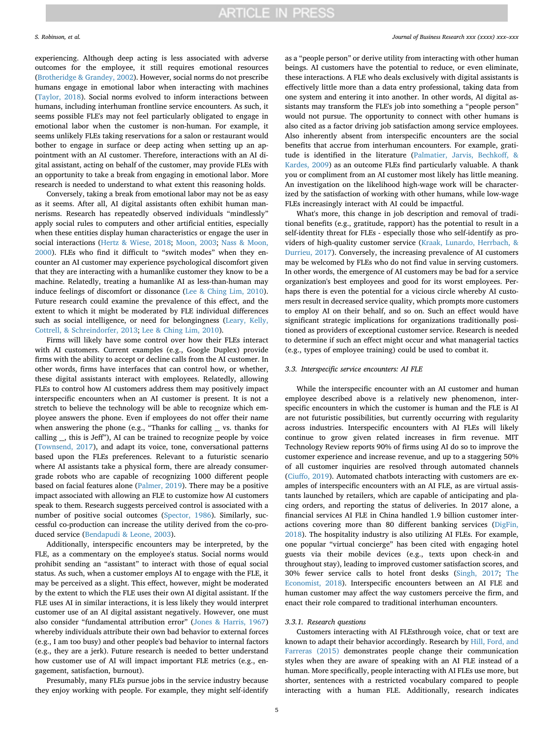experiencing. Although deep acting is less associated with adverse outcomes for the employee, it still requires emotional resources (Brotheridge & Grandey, 2002). However, social norms do not prescribe humans engage in emotional labor when interacting with machines (Taylor, 2018). Social norms evolved to inform interactions between humans, including interhuman frontline service encounters. As such, it seems possible FLE's may not feel particularly obligated to engage in emotional labor when the customer is non-human. For example, it seems unlikely FLEs taking reservations for a salon or restaurant would bother to engage in surface or deep acting when setting up an appointment with an AI customer. Therefore, interactions with an AI digital assistant, acting on behalf of the customer, may provide FLEs with an opportunity to take a break from engaging in emotional labor. More research is needed to understand to what extent this reasoning holds.

Conversely, taking a break from emotional labor may not be as easy as it seems. After all, AI digital assistants often exhibit human mannerisms. Research has repeatedly observed individuals "mindlessly" apply social rules to computers and other artificial entities, especially when these entities display human characteristics or engage the user in social interactions (Hertz & Wiese, 2018; Moon, 2003; Nass & Moon, 2000). FLEs who find it difficult to "switch modes" when they encounter an AI customer may experience psychological discomfort given that they are interacting with a humanlike customer they know to be a machine. Relatedly, treating a humanlike AI as less-than-human may induce feelings of discomfort or dissonance (Lee & Ching Lim, 2010). Future research could examine the prevalence of this effect, and the extent to which it might be moderated by FLE individual differences such as social intelligence, or need for belongingness (Leary, Kelly, Cottrell, & Schreindorfer, 2013; Lee & Ching Lim, 2010).

Firms will likely have some control over how their FLEs interact with AI customers. Current examples (e.g., Google Duplex) provide firms with the ability to accept or decline calls from the AI customer. In other words, firms have interfaces that can control how, or whether, these digital assistants interact with employees. Relatedly, allowing FLEs to control how AI customers address them may positively impact interspecific encounters when an AI customer is present. It is not a stretch to believe the technology will be able to recognize which employee answers the phone. Even if employees do not offer their name when answering the phone (e.g., "Thanks for calling \_ vs. thanks for calling \_\_, this is Jeff"), AI can be trained to recognize people by voice (Townsend, 2017), and adapt its voice, tone, conversational patterns based upon the FLEs preferences. Relevant to a futuristic scenario where AI assistants take a physical form, there are already consumergrade robots who are capable of recognizing 1000 different people based on facial features alone (Palmer, 2019). There may be a positive impact associated with allowing an FLE to customize how AI customers speak to them. Research suggests perceived control is associated with a number of positive social outcomes (Spector, 1986). Similarly, successful co-production can increase the utility derived from the co-produced service (Bendapudi & Leone, 2003).

Additionally, interspecific encounters may be interpreted, by the FLE, as a commentary on the employee's status. Social norms would prohibit sending an "assistant" to interact with those of equal social status. As such, when a customer employs AI to engage with the FLE, it may be perceived as a slight. This effect, however, might be moderated by the extent to which the FLE uses their own AI digital assistant. If the FLE uses AI in similar interactions, it is less likely they would interpret customer use of an AI digital assistant negatively. However, one must also consider "fundamental attribution error" (Jones & Harris, 1967) whereby individuals attribute their own bad behavior to external forces (e.g., I am too busy) and other people's bad behavior to internal factors (e.g., they are a jerk). Future research is needed to better understand how customer use of AI will impact important FLE metrics (e.g., engagement, satisfaction, burnout).

Presumably, many FLEs pursue jobs in the service industry because they enjoy working with people. For example, they might self-identify as a "people person" or derive utility from interacting with other human beings. AI customers have the potential to reduce, or even eliminate, these interactions. A FLE who deals exclusively with digital assistants is effectively little more than a data entry professional, taking data from one system and entering it into another. In other words, AI digital assistants may transform the FLE's job into something a "people person" would not pursue. The opportunity to connect with other humans is also cited as a factor driving job satisfaction among service employees. Also inherently absent from interspecific encounters are the social benefits that accrue from interhuman encounters. For example, gratitude is identified in the literature (Palmatier, Jarvis, Bechkoff, & Kardes, 2009) as an outcome FLEs find particularly valuable. A thank you or compliment from an AI customer most likely has little meaning. An investigation on the likelihood high-wage work will be characterized by the satisfaction of working with other humans, while low-wage FLEs increasingly interact with AI could be impactful.

What's more, this change in job description and removal of traditional benefits (e.g., gratitude, rapport) has the potential to result in a self-identity threat for FLEs - especially those who self-identify as providers of high-quality customer service (Kraak, Lunardo, Herrbach, & Durrieu, 2017). Conversely, the increasing prevalence of AI customers may be welcomed by FLEs who do not find value in serving customers. In other words, the emergence of AI customers may be bad for a service organization's best employees and good for its worst employees. Perhaps there is even the potential for a vicious circle whereby AI customers result in decreased service quality, which prompts more customers to employ AI on their behalf, and so on. Such an effect would have significant strategic implications for organizations traditionally positioned as providers of exceptional customer service. Research is needed to determine if such an effect might occur and what managerial tactics (e.g., types of employee training) could be used to combat it.

#### *3.3. Interspecific service encounters: AI FLE*

While the interspecific encounter with an AI customer and human employee described above is a relatively new phenomenon, interspecific encounters in which the customer is human and the FLE is AI are not futuristic possibilities, but currently occurring with regularity across industries. Interspecific encounters with AI FLEs will likely continue to grow given related increases in firm revenue. MIT Technology Review reports 90% of firms using AI do so to improve the customer experience and increase revenue, and up to a staggering 50% of all customer inquiries are resolved through automated channels (Ciuffo, 2019). Automated chatbots interacting with customers are examples of interspecific encounters with an AI FLE, as are virtual assistants launched by retailers, which are capable of anticipating and placing orders, and reporting the status of deliveries. In 2017 alone, a financial services AI FLE in China handled 1.9 billion customer interactions covering more than 80 different banking services (DigFin, 2018). The hospitality industry is also utilizing AI FLEs. For example, one popular "virtual concierge" has been cited with engaging hotel guests via their mobile devices (e.g., texts upon check-in and throughout stay), leading to improved customer satisfaction scores, and 30% fewer service calls to hotel front desks (Singh, 2017; The Economist, 2018). Interspecific encounters between an AI FLE and human customer may affect the way customers perceive the firm, and enact their role compared to traditional interhuman encounters.

### *3.3.1. Research questions*

Customers interacting with AI FLEsthrough voice, chat or text are known to adapt their behavior accordingly. Research by Hill, Ford, and Farreras (2015) demonstrates people change their communication styles when they are aware of speaking with an AI FLE instead of a human. More specifically, people interacting with AI FLEs use more, but shorter, sentences with a restricted vocabulary compared to people interacting with a human FLE. Additionally, research indicates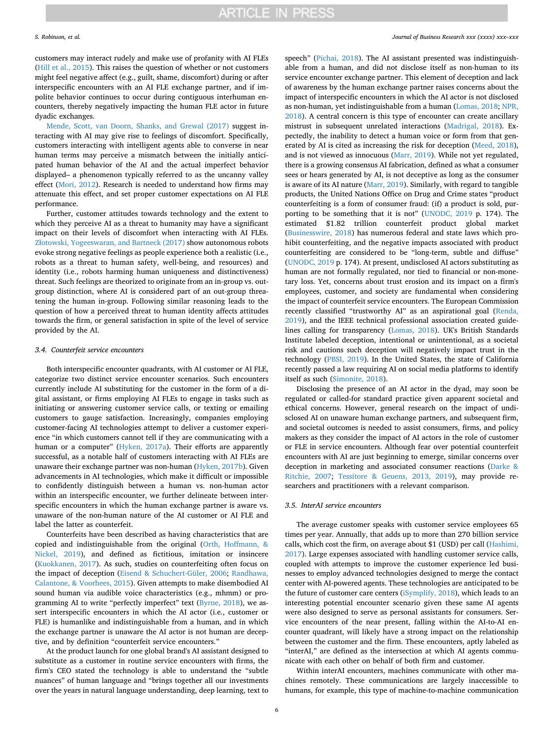customers may interact rudely and make use of profanity with AI FLEs (Hill et al., 2015). This raises the question of whether or not customers might feel negative affect (e.g., guilt, shame, discomfort) during or after interspecific encounters with an AI FLE exchange partner, and if impolite behavior continues to occur during contiguous interhuman encounters, thereby negatively impacting the human FLE actor in future dyadic exchanges.

Mende, Scott, van Doorn, Shanks, and Grewal (2017) suggest interacting with AI may give rise to feelings of discomfort. Specifically, customers interacting with intelligent agents able to converse in near human terms may perceive a mismatch between the initially anticipated human behavior of the AI and the actual imperfect behavior displayed– a phenomenon typically referred to as the uncanny valley effect (Mori, 2012). Research is needed to understand how firms may attenuate this effect, and set proper customer expectations on AI FLE performance.

Further, customer attitudes towards technology and the extent to which they perceive AI as a threat to humanity may have a significant impact on their levels of discomfort when interacting with AI FLEs. Złotowski, Yogeeswaran, and Bartneck (2017) show autonomous robots evoke strong negative feelings as people experience both a realistic (i.e., robots as a threat to human safety, well-being, and resources) and identity (i.e., robots harming human uniqueness and distinctiveness) threat. Such feelings are theorized to originate from an in-group vs. outgroup distinction, where AI is considered part of an out-group threatening the human in-group. Following similar reasoning leads to the question of how a perceived threat to human identity affects attitudes towards the firm, or general satisfaction in spite of the level of service provided by the AI.

### *3.4. Counterfeit service encounters*

Both interspecific encounter quadrants, with AI customer or AI FLE, categorize two distinct service encounter scenarios. Such encounters currently include AI substituting for the customer in the form of a digital assistant, or firms employing AI FLEs to engage in tasks such as initiating or answering customer service calls, or texting or emailing customers to gauge satisfaction. Increasingly, companies employing customer-facing AI technologies attempt to deliver a customer experience "in which customers cannot tell if they are communicating with a human or a computer" (Hyken, 2017a). Their efforts are apparently successful, as a notable half of customers interacting with AI FLEs are unaware their exchange partner was non-human (Hyken, 2017b). Given advancements in AI technologies, which make it difficult or impossible to confidently distinguish between a human vs. non-human actor within an interspecific encounter, we further delineate between interspecific encounters in which the human exchange partner is aware vs. unaware of the non-human nature of the AI customer or AI FLE and label the latter as counterfeit.

Counterfeits have been described as having characteristics that are copied and indistinguishable from the original (Orth, Hoffmann, & Nickel, 2019), and defined as fictitious, imitation or insincere (Kuokkanen, 2017). As such, studies on counterfeiting often focus on the impact of deception (Eisend & Schuchert-Güler, 2006; Randhawa, Calantone, & Voorhees, 2015). Given attempts to make disembodied AI sound human via audible voice characteristics (e.g., mhmm) or programming AI to write "perfectly imperfect" text (Byrne, 2018), we assert interspecific encounters in which the AI actor (i.e., customer or FLE) is humanlike and indistinguishable from a human, and in which the exchange partner is unaware the AI actor is not human are deceptive, and by definition "counterfeit service encounters."

At the product launch for one global brand's AI assistant designed to substitute as a customer in routine service encounters with firms, the firm's CEO stated the technology is able to understand the "subtle nuances" of human language and "brings together all our investments over the years in natural language understanding, deep learning, text to speech" (Pichai, 2018). The AI assistant presented was indistinguishable from a human, and did not disclose itself as non-human to its service encounter exchange partner. This element of deception and lack of awareness by the human exchange partner raises concerns about the impact of interspecific encounters in which the AI actor is not disclosed as non-human, yet indistinguishable from a human (Lomas, 2018; NPR, 2018). A central concern is this type of encounter can create ancillary mistrust in subsequent unrelated interactions (Madrigal, 2018). Expectedly, the inability to detect a human voice or form from that generated by AI is cited as increasing the risk for deception (Meed, 2018), and is not viewed as innocuous (Marr, 2019). While not yet regulated, there is a growing consensus AI fabrication, defined as what a consumer sees or hears generated by AI, is not deceptive as long as the consumer is aware of its AI nature (Marr, 2019). Similarly, with regard to tangible products, the United Nations Office on Drug and Crime states "product counterfeiting is a form of consumer fraud: (if) a product is sold, purporting to be something that it is not" (UNODC, 2019 p. 174). The estimated \$1.82 trillion counterfeit product global market (Businesswire, 2018) has numerous federal and state laws which prohibit counterfeiting, and the negative impacts associated with product counterfeiting are considered to be "long-term, subtle and diffuse" (UNODC, 2019 p. 174). At present, undisclosed AI actors substituting as human are not formally regulated, nor tied to financial or non-monetary loss. Yet, concerns about trust erosion and its impact on a firm's employees, customer, and society are fundamental when considering the impact of counterfeit service encounters. The European Commission recently classified "trustworthy AI" as an aspirational goal (Renda, 2019), and the IEEE technical professional association created guidelines calling for transparency (Lomas, 2018). UK's British Standards Institute labeled deception, intentional or unintentional, as a societal risk and cautions such deception will negatively impact trust in the technology (PBSI, 2019). In the United States, the state of California recently passed a law requiring AI on social media platforms to identify itself as such (Simonite, 2018).

Disclosing the presence of an AI actor in the dyad, may soon be regulated or called-for standard practice given apparent societal and ethical concerns. However, general research on the impact of undisclosed AI on unaware human exchange partners, and subsequent firm, and societal outcomes is needed to assist consumers, firms, and policy makers as they consider the impact of AI actors in the role of customer or FLE in service encounters. Although fear over potential counterfeit encounters with AI are just beginning to emerge, similar concerns over deception in marketing and associated consumer reactions (Darke & Ritchie, 2007; Tessitore & Geuens, 2013, 2019), may provide researchers and practitioners with a relevant comparison.

#### *3.5. InterAI service encounters*

The average customer speaks with customer service employees 65 times per year. Annually, that adds up to more than 270 billion service calls, which cost the firm, on average about \$1 (USD) per call (Hashimi, 2017). Large expenses associated with handling customer service calls, coupled with attempts to improve the customer experience led businesses to employ advanced technologies designed to merge the contact center with AI-powered agents. These technologies are anticipated to be the future of customer care centers (iSymplify, 2018), which leads to an interesting potential encounter scenario given these same AI agents were also designed to serve as personal assistants for consumers. Service encounters of the near present, falling within the AI-to-AI encounter quadrant, will likely have a strong impact on the relationship between the customer and the firm. These encounters, aptly labeled as "interAI," are defined as the intersection at which AI agents communicate with each other on behalf of both firm and customer.

Within interAI encounters, machines communicate with other machines remotely. These communications are largely inaccessible to humans, for example, this type of machine-to-machine communication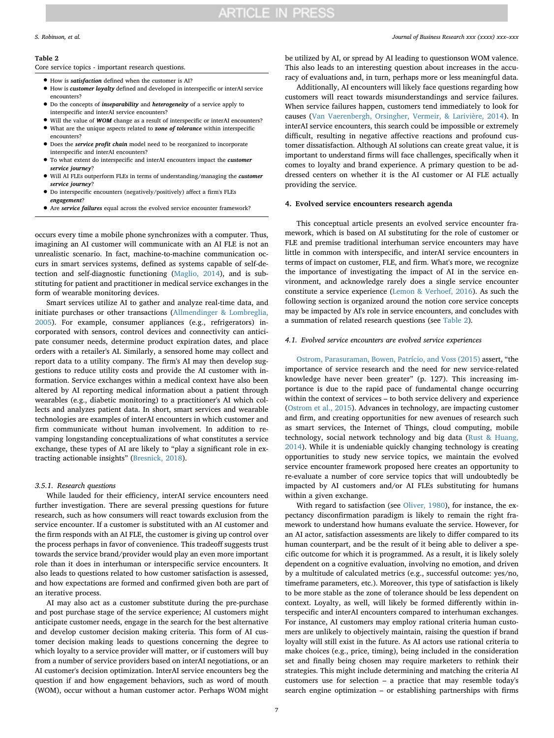#### **Table 2**

- Core service topics important research questions.
	- How is *satisfaction* defined when the customer is AI?
	- How is *customer loyalty* defined and developed in interspecific or interAI service encounters?
	- Do the concepts of *inseparability* and *heterogeneity* of a service apply to interspecific and interAI service encounters?
	- Will the value of *WOM* change as a result of interspecific or interAI encounters? • What are the unique aspects related to *zone of tolerance* within interspecific
	- encounters? • Does the *service profit chain* model need to be reorganized to incorporate
	- interspecific and interAI encounters?
	- To what extent do interspecific and interAI encounters impact the *customer service journey*?
	- Will AI FLEs outperform FLEs in terms of understanding/managing the *customer service journey*?
	- Do interspecific encounters (negatively/positively) affect a firm's FLEs *engagement*?
	- Are *service failures* equal across the evolved service encounter framework?

occurs every time a mobile phone synchronizes with a computer. Thus, imagining an AI customer will communicate with an AI FLE is not an unrealistic scenario. In fact, machine-to-machine communication occurs in smart services systems, defined as systems capable of self-detection and self-diagnostic functioning (Maglio, 2014), and is substituting for patient and practitioner in medical service exchanges in the form of wearable monitoring devices.

Smart services utilize AI to gather and analyze real-time data, and initiate purchases or other transactions (Allmendinger & Lombreglia, 2005). For example, consumer appliances (e.g., refrigerators) incorporated with sensors, control devices and connectivity can anticipate consumer needs, determine product expiration dates, and place orders with a retailer's AI. Similarly, a sensored home may collect and report data to a utility company. The firm's AI may then develop suggestions to reduce utility costs and provide the AI customer with information. Service exchanges within a medical context have also been altered by AI reporting medical information about a patient through wearables (e.g., diabetic monitoring) to a practitioner's AI which collects and analyzes patient data. In short, smart services and wearable technologies are examples of interAI encounters in which customer and firm communicate without human involvement. In addition to revamping longstanding conceptualizations of what constitutes a service exchange, these types of AI are likely to "play a significant role in extracting actionable insights" (Bresnick, 2018).

#### *3.5.1. Research questions*

While lauded for their efficiency, interAI service encounters need further investigation. There are several pressing questions for future research, such as how consumers will react towards exclusion from the service encounter. If a customer is substituted with an AI customer and the firm responds with an AI FLE, the customer is giving up control over the process perhaps in favor of convenience. This tradeoff suggests trust towards the service brand/provider would play an even more important role than it does in interhuman or interspecific service encounters. It also leads to questions related to how customer satisfaction is assessed, and how expectations are formed and confirmed given both are part of an iterative process.

AI may also act as a customer substitute during the pre-purchase and post purchase stage of the service experience; AI customers might anticipate customer needs, engage in the search for the best alternative and develop customer decision making criteria. This form of AI customer decision making leads to questions concerning the degree to which loyalty to a service provider will matter, or if customers will buy from a number of service providers based on interAI negotiations, or an AI customer's decision optimization. InterAI service encounters beg the question if and how engagement behaviors, such as word of mouth (WOM), occur without a human customer actor. Perhaps WOM might

*S. Robinson, et al. Journal of Business Research xxx (xxxx) xxx–xxx*

be utilized by AI, or spread by AI leading to questionson WOM valence. This also leads to an interesting question about increases in the accuracy of evaluations and, in turn, perhaps more or less meaningful data.

Additionally, AI encounters will likely face questions regarding how customers will react towards misunderstandings and service failures. When service failures happen, customers tend immediately to look for causes (Van Vaerenbergh, Orsingher, Vermeir, & Larivière, 2014). In interAI service encounters, this search could be impossible or extremely difficult, resulting in negative affective reactions and profound customer dissatisfaction. Although AI solutions can create great value, it is important to understand firms will face challenges, specifically when it comes to loyalty and brand experience. A primary question to be addressed centers on whether it is the AI customer or AI FLE actually providing the service.

### **4. Evolved service encounters research agenda**

This conceptual article presents an evolved service encounter framework, which is based on AI substituting for the role of customer or FLE and premise traditional interhuman service encounters may have little in common with interspecific, and interAI service encounters in terms of impact on customer, FLE, and firm. What's more, we recognize the importance of investigating the impact of AI in the service environment, and acknowledge rarely does a single service encounter constitute a service experience (Lemon & Verhoef, 2016). As such the following section is organized around the notion core service concepts may be impacted by AI's role in service encounters, and concludes with a summation of related research questions (see Table 2).

#### *4.1. Evolved service encounters are evolved service experiences*

Ostrom, Parasuraman, Bowen, Patrício, and Voss (2015) assert, "the importance of service research and the need for new service-related knowledge have never been greater" (p. 127). This increasing importance is due to the rapid pace of fundamental change occurring within the context of services – to both service delivery and experience (Ostrom et al., 2015). Advances in technology, are impacting customer and firm, and creating opportunities for new avenues of research such as smart services, the Internet of Things, cloud computing, mobile technology, social network technology and big data (Rust & Huang, 2014). While it is undeniable quickly changing technology is creating opportunities to study new service topics, we maintain the evolved service encounter framework proposed here creates an opportunity to re-evaluate a number of core service topics that will undoubtedly be impacted by AI customers and/or AI FLEs substituting for humans within a given exchange.

With regard to satisfaction (see Oliver, 1980), for instance, the expectancy disconfirmation paradigm is likely to remain the right framework to understand how humans evaluate the service. However, for an AI actor, satisfaction assessments are likely to differ compared to its human counterpart, and be the result of it being able to deliver a specific outcome for which it is programmed. As a result, it is likely solely dependent on a cognitive evaluation, involving no emotion, and driven by a multitude of calculated metrics (e.g., successful outcome: yes/no, timeframe parameters, etc.). Moreover, this type of satisfaction is likely to be more stable as the zone of tolerance should be less dependent on context. Loyalty, as well, will likely be formed differently within interspecific and interAI encounters compared to interhuman exchanges. For instance, AI customers may employ rational criteria human customers are unlikely to objectively maintain, raising the question if brand loyalty will still exist in the future. As AI actors use rational criteria to make choices (e.g., price, timing), being included in the consideration set and finally being chosen may require marketers to rethink their strategies. This might include determining and matching the criteria AI customers use for selection – a practice that may resemble today's search engine optimization – or establishing partnerships with firms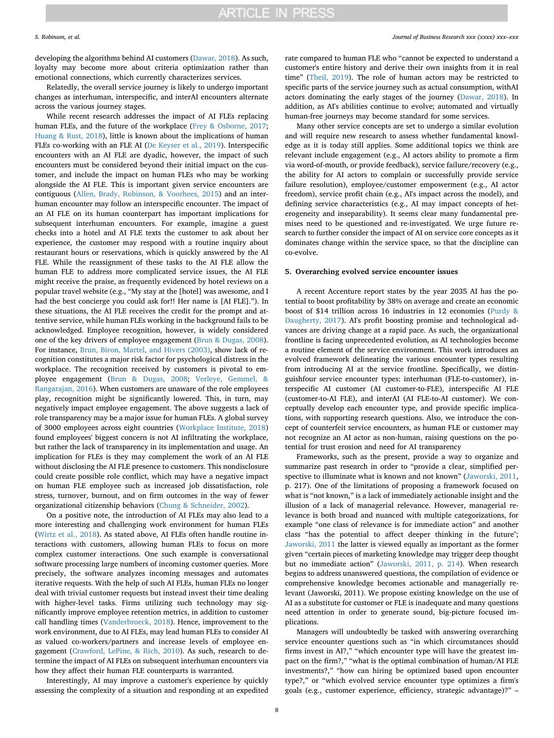developing the algorithms behind AI customers (Dawar, 2018). As such, loyalty may become more about criteria optimization rather than emotional connections, which currently characterizes services.

Relatedly, the overall service journey is likely to undergo important changes as interhuman, interspecific, and interAI encounters alternate across the various journey stages.

While recent research addresses the impact of AI FLEs replacing human FLEs, and the future of the workplace (Frey & Osborne, 2017; Huang & Rust, 2018), little is known about the implications of human FLEs co-working with an FLE AI (De Keyser et al., 2019). Interspecific encounters with an AI FLE are dyadic, however, the impact of such encounters must be considered beyond their initial impact on the customer, and include the impact on human FLEs who may be working alongside the AI FLE. This is important given service encounters are contiguous (Allen, Brady, Robinson, & Voorhees, 2015) and an interhuman encounter may follow an interspecific encounter. The impact of an AI FLE on its human counterpart has important implications for subsequent interhuman encounters. For example, imagine a guest checks into a hotel and AI FLE texts the customer to ask about her experience, the customer may respond with a routine inquiry about restaurant hours or reservations, which is quickly answered by the AI FLE. While the reassignment of these tasks to the AI FLE allow the human FLE to address more complicated service issues, the AI FLE might receive the praise, as frequently evidenced by hotel reviews on a popular travel website (e.g., "My stay at the [hotel] was awesome, and I had the best concierge you could ask for!! Her name is [AI FLE]."). In these situations, the AI FLE receives the credit for the prompt and attentive service, while human FLEs working in the background fails to be acknowledged. Employee recognition, however, is widely considered one of the key drivers of employee engagement (Brun & Dugas, 2008). For instance, Brun, Biron, Martel, and Hivers (2003), show lack of recognition constitutes a major risk factor for psychological distress in the workplace. The recognition received by customers is pivotal to employee engagement (Brun & Dugas, 2008; Verleye, Gemmel, & Rangarajan, 2016). When customers are unaware of the role employees play, recognition might be significantly lowered. This, in turn, may negatively impact employee engagement. The above suggests a lack of role transparency may be a major issue for human FLEs. A global survey of 3000 employees across eight countries (Workplace Institute, 2018) found employees' biggest concern is not AI infiltrating the workplace, but rather the lack of transparency in its implementation and usage. An implication for FLEs is they may complement the work of an AI FLE without disclosing the AI FLE presence to customers. This nondisclosure could create possible role conflict, which may have a negative impact on human FLE employee such as increased job dissatisfaction, role stress, turnover, burnout, and on firm outcomes in the way of fewer organizational citizenship behaviors (Chung & Schneider, 2002).

On a positive note, the introduction of AI FLEs may also lead to a more interesting and challenging work environment for human FLEs (Wirtz et al., 2018). As stated above, AI FLEs often handle routine interactions with customers, allowing human FLEs to focus on more complex customer interactions. One such example is conversational software processing large numbers of incoming customer queries. More precisely, the software analyzes incoming messages and automates iterative requests. With the help of such AI FLEs, human FLEs no longer deal with trivial customer requests but instead invest their time dealing with higher-level tasks. Firms utilizing such technology may significantly improve employee retention metrics, in addition to customer call handling times (Vanderbroeck, 2018). Hence, improvement to the work environment, due to AI FLEs, may lead human FLEs to consider AI as valued co-workers/partners and increase levels of employee engagement (Crawford, LePine, & Rich, 2010). As such, research to determine the impact of AI FLEs on subsequent interhuman encounters via how they affect their human FLE counterparts is warranted.

Interestingly, AI may improve a customer's experience by quickly assessing the complexity of a situation and responding at an expedited rate compared to human FLE who "cannot be expected to understand a customer's entire history and derive their own insights from it in real time" (Theil, 2019). The role of human actors may be restricted to specific parts of the service journey such as actual consumption, withAI actors dominating the early stages of the journey (Dawar, 2018). In addition, as AI's abilities continue to evolve; automated and virtually human-free journeys may become standard for some services.

Many other service concepts are set to undergo a similar evolution and will require new research to assess whether fundamental knowledge as it is today still applies. Some additional topics we think are relevant include engagement (e.g., AI actors ability to promote a firm via word-of-mouth, or provide feedback), service failure/recovery (e.g., the ability for AI actors to complain or successfully provide service failure resolution), employee/customer empowerment (e.g., AI actor freedom), service profit chain (e.g., AI's impact across the model), and defining service characteristics (e.g., AI may impact concepts of heterogeneity and inseparability). It seems clear many fundamental premises need to be questioned and re-investigated. We urge future research to further consider the impact of AI on service core concepts as it dominates change within the service space, so that the discipline can co-evolve.

### **5. Overarching evolved service encounter issues**

A recent Accenture report states by the year 2035 AI has the potential to boost profitability by 38% on average and create an economic boost of \$14 trillion across 16 industries in 12 economies (Purdy & Daugherty, 2017). AI's profit boosting promise and technological advances are driving change at a rapid pace. As such, the organizational frontline is facing unprecedented evolution, as AI technologies become a routine element of the service environment. This work introduces an evolved framework delineating the various encounter types resulting from introducing AI at the service frontline. Specifically, we distinguishfour service encounter types: interhuman (FLE-to-customer), interspecific AI customer (AI customer-to-FLE), interspecific AI FLE (customer-to-AI FLE), and interAI (AI FLE-to-AI customer). We conceptually develop each encounter type, and provide specific implications, with supporting research questions. Also, we introduce the concept of counterfeit service encounters, as human FLE or customer may not recognize an AI actor as non-human, raising questions on the potential for trust erosion and need for AI transparency

Frameworks, such as the present, provide a way to organize and summarize past research in order to "provide a clear, simplified perspective to illuminate what is known and not known" (Jaworski, 2011, p. 217). One of the limitations of proposing a framework focused on what is "not known," is a lack of immediately actionable insight and the illusion of a lack of managerial relevance. However, managerial relevance is both broad and nuanced with multiple categorizations, for example "one class of relevance is for immediate action" and another class "has the potential to affect deeper thinking in the future"; Jaworski, 2011 the latter is viewed equally as important as the former given "certain pieces of marketing knowledge may trigger deep thought but no immediate action" (Jaworski, 2011, p. 214). When research begins to address unanswered questions, the compilation of evidence or comprehensive knowledge becomes actionable and managerially relevant (Jaworski, 2011). We propose existing knowledge on the use of AI as a substitute for customer or FLE is inadequate and many questions need attention in order to generate sound, big-picture focused implications.

Managers will undoubtedly be tasked with answering overarching service encounter questions such as "in which circumstances should firms invest in AI?," "which encounter type will have the greatest impact on the firm?," "what is the optimal combination of human/AI FLE investments?," "how can hiring be optimized based upon encounter type?," or "which evolved service encounter type optimizes a firm's goals (e.g., customer experience, efficiency, strategic advantage)?" –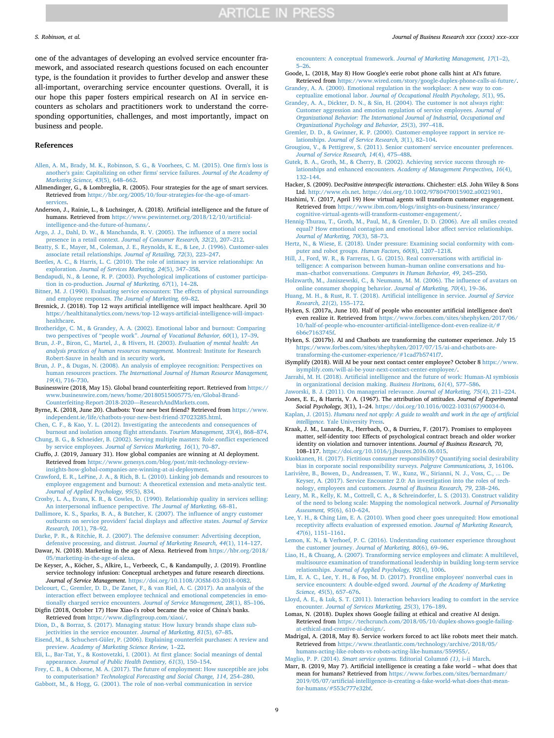one of the advantages of developing an evolved service encounter framework, and associated research questions focused on each encounter type, is the foundation it provides to further develop and answer these all-important, overarching service encounter questions. Overall, it is our hope this paper fosters empirical research on AI in service encounters as scholars and practitioners work to understand the corresponding opportunities, challenges, and most importantly, impact on business and people.

### **References**

- [Allen, A. M., Brady, M. K., Robinson, S. G., & Voorhees, C. M. \(2015\). One firm's loss is](http://refhub.elsevier.com/S0148-2963(19)30508-9/rf0005) [another's gain: Capitalizing on other firms' service failures.](http://refhub.elsevier.com/S0148-2963(19)30508-9/rf0005) *Journal of the Academy of [Marketing Science, 43](http://refhub.elsevier.com/S0148-2963(19)30508-9/rf0005)*(5), 648–662.
- Allmendinger, G., & Lombreglia, R. (2005). Four strategies for the age of smart services. Retrieved from [https://hbr.org/2005/10/four-strategies-for-the-age-of-smart](https://hbr.org/2005/10/four-strategies-for-the-age-of-smart-services)[services.](https://hbr.org/2005/10/four-strategies-for-the-age-of-smart-services)
- Anderson, J., Rainie, L., & Luchsinger, A. (2018). Artificial intelligence and the future of humans. Retrieved from [https://www.pewinternet.org/2018/12/10/artificial](https://www.pewinternet.org/2018/12/10/artificial-intelligence-and-the-future-of-humans/)[intelligence-and-the-future-of-humans/.](https://www.pewinternet.org/2018/12/10/artificial-intelligence-and-the-future-of-humans/)
- [Argo, J. J., Dahl, D. W., & Manchanda, R. V. \(2005\). The influence of a mere social](http://refhub.elsevier.com/S0148-2963(19)30508-9/rf0020) presence in a retail context. *[Journal of Consumer Research, 32](http://refhub.elsevier.com/S0148-2963(19)30508-9/rf0020)*(2), 207–212.
- [Beatty, S. E., Mayer, M., Coleman, J. E., Reynolds, K. E., & Lee, J. \(1996\). Customer-sales](http://refhub.elsevier.com/S0148-2963(19)30508-9/rf0025) [associate retail relationships.](http://refhub.elsevier.com/S0148-2963(19)30508-9/rf0025) *Journal of Retailing, 72*(3), 223–247.
- [Beetles, A. C., & Harris, L. C. \(2010\). The role of intimacy in service relationships: An](http://refhub.elsevier.com/S0148-2963(19)30508-9/rf0030) exploration. *[Journal of Services Marketing, 24](http://refhub.elsevier.com/S0148-2963(19)30508-9/rf0030)*(5), 347–358.
- [Bendapudi, N., & Leone, R. P. \(2003\). Psychological implications of customer participa](http://refhub.elsevier.com/S0148-2963(19)30508-9/rf0035)tion in co-production. *[Journal of Marketing, 67](http://refhub.elsevier.com/S0148-2963(19)30508-9/rf0035)*(1), 14–28.
- [Bitner, M. J. \(1990\). Evaluating service encounters: The effects of physical surroundings](http://refhub.elsevier.com/S0148-2963(19)30508-9/rf0040) and employee responses. *[The Journal of Marketing,](http://refhub.elsevier.com/S0148-2963(19)30508-9/rf0040)* 69–82.
- Bresnick, J. (2018). Top 12 ways artificial intelligence will impact healthcare. April 30 [https://healthitanalytics.com/news/top-12-ways-artificial-intelligence-will-impact](https://healthitanalytics.com/news/top-12-ways-artificial-intelligence-will-impact-healthcare)[healthcare](https://healthitanalytics.com/news/top-12-ways-artificial-intelligence-will-impact-healthcare).
- [Brotheridge, C. M., & Grandey, A. A. \(2002\). Emotional labor and burnout: Comparing](http://refhub.elsevier.com/S0148-2963(19)30508-9/rf0055) [two perspectives of "people work".](http://refhub.elsevier.com/S0148-2963(19)30508-9/rf0055) *Journal of Vocational Behavior, 60*(1), 17–39.
- [Brun, J.-P., Biron, C., Martel, J., & Hivers, H. \(2003\).](http://refhub.elsevier.com/S0148-2963(19)30508-9/rf0060) *Evaluation of mental health: An [analysis practices of human resources management.](http://refhub.elsevier.com/S0148-2963(19)30508-9/rf0060)* Montreal: Institute for Research [Robert-Sauve in health and in security work.](http://refhub.elsevier.com/S0148-2963(19)30508-9/rf0060)
- [Brun, J. P., & Dugas, N. \(2008\). An analysis of employee recognition: Perspectives on](http://refhub.elsevier.com/S0148-2963(19)30508-9/rf0065) human resources practices. *[The International Journal of Human Resource Management,](http://refhub.elsevier.com/S0148-2963(19)30508-9/rf0065) 19*[\(4\), 716–730.](http://refhub.elsevier.com/S0148-2963(19)30508-9/rf0065)
- Businesswire (2018, May 15). Global brand counterfeiting report. Retrieved from [https://](https://www.businesswire.com/news/home/20180515005775/en/Global-Brand-Counterfeiting-Report-2018-2020---ResearchAndMarkets.com) [www.businesswire.com/news/home/20180515005775/en/Global-Brand-](https://www.businesswire.com/news/home/20180515005775/en/Global-Brand-Counterfeiting-Report-2018-2020---ResearchAndMarkets.com)[Counterfeiting-Report-2018-2020—ResearchAndMarkets.com](https://www.businesswire.com/news/home/20180515005775/en/Global-Brand-Counterfeiting-Report-2018-2020---ResearchAndMarkets.com).
- Byrne, K. (2018, June 20). Chatbots: Your new best friend? Retrieved from [https://www.](https://www.independent.ie/life/chatbots-your-new-best-friend-37023285.html) [independent.ie/life/chatbots-your-new-best-friend-37023285.html](https://www.independent.ie/life/chatbots-your-new-best-friend-37023285.html).
- [Chen, C. F., & Kao, Y. L. \(2012\). Investigating the antecedents and consequences of](http://refhub.elsevier.com/S0148-2963(19)30508-9/rf0075) [burnout and isolation among flight attendants.](http://refhub.elsevier.com/S0148-2963(19)30508-9/rf0075) *Tourism Management, 33*(4), 868–874.
- [Chung, B. G., & Schneider, B. \(2002\). Serving multiple masters: Role conflict experienced](http://refhub.elsevier.com/S0148-2963(19)30508-9/rf0080) by service employees. *[Journal of Services Marketing, 16](http://refhub.elsevier.com/S0148-2963(19)30508-9/rf0080)*(1), 70–87.
- Ciuffo, J. (2019, January 31). How global companies are winning at AI deployment. Retrieved from https://www.genesys.com/blog/post/mit-technology-revie [insights-how-global-companies-are-winning-at-ai-deployment.](https://www.genesys.com/blog/post/mit-technology-review-insights-how-global-companies-are-winning-at-ai-deployment)
- [Crawford, E. R., LePine, J. A., & Rich, B. L. \(2010\). Linking job demands and resources to](http://refhub.elsevier.com/S0148-2963(19)30508-9/rf0085) [employee engagement and burnout: A theoretical extension and meta-analytic test.](http://refhub.elsevier.com/S0148-2963(19)30508-9/rf0085) *[Journal of Applied Psychology, 95](http://refhub.elsevier.com/S0148-2963(19)30508-9/rf0085)*(5), 834.
- [Crosby, L. A., Evans, K. R., & Cowles, D. \(1990\). Relationship quality in services selling:](http://refhub.elsevier.com/S0148-2963(19)30508-9/rf0090) [An interpersonal influence perspective.](http://refhub.elsevier.com/S0148-2963(19)30508-9/rf0090) *The Journal of Marketing,* 68–81.
- [Dallimore, K. S., Sparks, B. A., & Butcher, K. \(2007\). The influence of angry customer](http://refhub.elsevier.com/S0148-2963(19)30508-9/rf0095) [outbursts on service providers' facial displays and affective states.](http://refhub.elsevier.com/S0148-2963(19)30508-9/rf0095) *Journal of Service [Research, 10](http://refhub.elsevier.com/S0148-2963(19)30508-9/rf0095)*(1), 78–92.
- [Darke, P. R., & Ritchie, R. J. \(2007\). The defensive consumer: Advertising deception,](http://refhub.elsevier.com/S0148-2963(19)30508-9/rf0100) [defensive processing, and distrust.](http://refhub.elsevier.com/S0148-2963(19)30508-9/rf0100) *Journal of Marketing Research, 44*(1), 114–127.
- Dawar, N. (2018). Marketing in the age of Alexa. Retrieved from [https://hbr.org/2018/](https://hbr.org/2018/05/marketing-in-the-age-of-alexa) [05/marketing-in-the-age-of-alexa](https://hbr.org/2018/05/marketing-in-the-age-of-alexa).
- De Keyser, A., Köcher, S., Alkire, L., Verbeeck, C., & Kandampully, J. (2019). Frontline service technology infusion: Conceptual archetypes and future research directions. *Journal of Service Management*. [https://doi.org/10.1108/JOSM-03-2018-0082.](https://doi.org/10.1108/JOSM-03-2018-0082)
- [Delcourt, C., Gremler, D. D., De Zanet, F., & van Riel, A. C. \(2017\). An analysis of the](http://refhub.elsevier.com/S0148-2963(19)30508-9/rf0115) [interaction effect between employee technical and emotional competencies in emo](http://refhub.elsevier.com/S0148-2963(19)30508-9/rf0115)[tionally charged service encounters.](http://refhub.elsevier.com/S0148-2963(19)30508-9/rf0115) *Journal of Service Management, 28*(1), 85–106.
- Digfin (2018, October 17) How Xiao-i's robot became the voice of China's banks. Retrieved from [https://www.digfingroup.com/xiaoi/.](https://www.digfingroup.com/xiaoi/)
- [Dion, D., & Borraz, S. \(2017\). Managing status: How luxury brands shape class sub](http://refhub.elsevier.com/S0148-2963(19)30508-9/rf0120)[jectivities in the service encounter.](http://refhub.elsevier.com/S0148-2963(19)30508-9/rf0120) *Journal of Marketing, 81*(5), 67–85.
- [Eisend, M., & Schuchert-Güler, P. \(2006\). Explaining counterfeit purchases: A review and](http://refhub.elsevier.com/S0148-2963(19)30508-9/rf0125) preview. *[Academy of Marketing Science Review,](http://refhub.elsevier.com/S0148-2963(19)30508-9/rf0125)* 1–22.
- [Eli, L., Bar-Tat, Y., & Kostovetzki, I. \(2001\). At first glance: Social meanings of dental](http://refhub.elsevier.com/S0148-2963(19)30508-9/rf0130) appearance. *[Journal of Public Health Dentistry, 61](http://refhub.elsevier.com/S0148-2963(19)30508-9/rf0130)*(3), 150–154.
- [Frey, C. B., & Osborne, M. A. \(2017\). The future of employment: How susceptible are jobs](http://refhub.elsevier.com/S0148-2963(19)30508-9/rf0135) to computerisation? *[Technological Forecasting and Social Change, 114](http://refhub.elsevier.com/S0148-2963(19)30508-9/rf0135)*, 254–280. [Gabbott, M., & Hogg, G. \(2001\). The role of non-verbal communication in service](http://refhub.elsevier.com/S0148-2963(19)30508-9/rf0140)

[encounters: A conceptual framework.](http://refhub.elsevier.com/S0148-2963(19)30508-9/rf0140) *Journal of Marketing Management, 17*(1–2), [5–26.](http://refhub.elsevier.com/S0148-2963(19)30508-9/rf0140)

- Goode, L. (2018, May 8) How Google's eerie robot phone calls hint at AI's future. Retrieved from [https://www.wired.com/story/google-duplex-phone-calls-ai-future/.](https://www.wired.com/story/google-duplex-phone-calls-ai-future/)
- [Grandey, A. A. \(2000\). Emotional regulation in the workplace: A new way to con](http://refhub.elsevier.com/S0148-2963(19)30508-9/rf0145)ceptualize emotional labor. *[Journal of Occupational Health Psychology, 5](http://refhub.elsevier.com/S0148-2963(19)30508-9/rf0145)*(1), 95.
- [Grandey, A. A., Dickter, D. N., & Sin, H. \(2004\). The customer is not always right:](http://refhub.elsevier.com/S0148-2963(19)30508-9/rf0150) [Customer aggression and emotion regulation of service employees.](http://refhub.elsevier.com/S0148-2963(19)30508-9/rf0150) *Journal of [Organizational Behavior: The International Journal of Industrial, Occupational and](http://refhub.elsevier.com/S0148-2963(19)30508-9/rf0150) [Organizational Psychology and Behavior, 25](http://refhub.elsevier.com/S0148-2963(19)30508-9/rf0150)*(3), 397–418.
- [Gremler, D. D., & Gwinner, K. P. \(2000\). Customer-employee rapport in service re](http://refhub.elsevier.com/S0148-2963(19)30508-9/rf0155)lationships. *[Journal of Service Research, 3](http://refhub.elsevier.com/S0148-2963(19)30508-9/rf0155)*(1), 82–104.
- [Grougiou, V., & Pettigrew, S. \(2011\). Senior customers' service encounter preferences.](http://refhub.elsevier.com/S0148-2963(19)30508-9/rf0160) *[Journal of Service Research, 14](http://refhub.elsevier.com/S0148-2963(19)30508-9/rf0160)*(4), 475–488.
- [Gutek, B. A., Groth, M., & Cherry, B. \(2002\). Achieving service success through re](http://refhub.elsevier.com/S0148-2963(19)30508-9/rf0165)lationships and enhanced encounters. *[Academy of Management Perspectives, 16](http://refhub.elsevier.com/S0148-2963(19)30508-9/rf0165)*(4), [132–144](http://refhub.elsevier.com/S0148-2963(19)30508-9/rf0165).
- Hacker, S. (2009). Dec*Positive interspecific interactions*. Chichester: eLS. John Wiley & Sons Ltd. <http://www.els.net>. [https://doi.org/10.1002/9780470015902.a0021901.](https://doi.org/10.1002/9780470015902.a0021901)
- Hashimi, Y. (2017, April 19) How virtual agents will transform customer engagement. Retrieved from [https://www.ibm.com/blogs/insights-on-business/insurance/](https://www.ibm.com/blogs/insights-on-business/insurance/cognitive-virtual-agents-will-transform-customer-engagement/) [cognitive-virtual-agents-will-transform-customer-engagement/.](https://www.ibm.com/blogs/insights-on-business/insurance/cognitive-virtual-agents-will-transform-customer-engagement/)
- [Hennig-Thurau, T., Groth, M., Paul, M., & Gremler, D. D. \(2006\). Are all smiles created](http://refhub.elsevier.com/S0148-2963(19)30508-9/rf0180) [equal? How emotional contagion and emotional labor affect service relationships.](http://refhub.elsevier.com/S0148-2963(19)30508-9/rf0180) *[Journal of Marketing, 70](http://refhub.elsevier.com/S0148-2963(19)30508-9/rf0180)*(3), 58–73.
- [Hertz, N., & Wiese, E. \(2018\). Under pressure: Examining social conformity with com](http://refhub.elsevier.com/S0148-2963(19)30508-9/rf0185)[puter and robot groups.](http://refhub.elsevier.com/S0148-2963(19)30508-9/rf0185) *Human Factors, 60*(8), 1207–1218.
- [Hill, J., Ford, W. R., & Farreras, I. G. \(2015\). Real conversations with artificial in](http://refhub.elsevier.com/S0148-2963(19)30508-9/rf0190)[telligence: A comparison between human–human online conversations and hu](http://refhub.elsevier.com/S0148-2963(19)30508-9/rf0190)man–chatbot conversations. *[Computers in Human Behavior, 49](http://refhub.elsevier.com/S0148-2963(19)30508-9/rf0190)*, 245–250.
- [Holzwarth, M., Janiszewski, C., & Neumann, M. M. \(2006\). The influence of avatars on](http://refhub.elsevier.com/S0148-2963(19)30508-9/rf0195) [online consumer shopping behavior.](http://refhub.elsevier.com/S0148-2963(19)30508-9/rf0195) *Journal of Marketing, 70*(4), 19–36.
- [Huang, M. H., & Rust, R. T. \(2018\). Artificial intelligence in service.](http://refhub.elsevier.com/S0148-2963(19)30508-9/rf0200) *Journal of Service Research, 21*[\(2\), 155–172](http://refhub.elsevier.com/S0148-2963(19)30508-9/rf0200).
- Hyken, S. (2017a, June 10). Half of people who encounter artificial intelligence don't even realize it. Retrieved from [https://www.forbes.com/sites/shephyken/2017/06/](https://www.forbes.com/sites/shephyken/2017/06/10/half-of-people-who-encounter-artificial-intelligence-dont-even-realize-it/#6b6c7163745f) [10/half-of-people-who-encounter-artificial-intelligence-dont-even-realize-it/#](https://www.forbes.com/sites/shephyken/2017/06/10/half-of-people-who-encounter-artificial-intelligence-dont-even-realize-it/#6b6c7163745f) [6b6c7163745f](https://www.forbes.com/sites/shephyken/2017/06/10/half-of-people-who-encounter-artificial-intelligence-dont-even-realize-it/#6b6c7163745f).
- Hyken, S. (2017b). AI and Chatbots are transforming the customer experience. July 15 [https://www.forbes.com/sites/shephyken/2017/07/15/ai-and-chatbots-are](https://www.forbes.com/sites/shephyken/2017/07/15/ai-and-chatbots-are-transforming-the-customer-experience/#1cad7b5741f7)[transforming-the-customer-experience/#1cad7b5741f7.](https://www.forbes.com/sites/shephyken/2017/07/15/ai-and-chatbots-are-transforming-the-customer-experience/#1cad7b5741f7)
- iSymplify (2018). Will AI be your next contact center employee? October 8 [https://www.](https://www.isymplify.com/will-ai-be-your-next-contact-center-employee/) [isymplify.com/will-ai-be-your-next-contact-center-employee/.](https://www.isymplify.com/will-ai-be-your-next-contact-center-employee/)
- [Jarrahi, M. H. \(2018\). Artificial intelligence and the future of work: Human-AI symbiosis](http://refhub.elsevier.com/S0148-2963(19)30508-9/rf0215)
- [in organizational decision making.](http://refhub.elsevier.com/S0148-2963(19)30508-9/rf0215) *Business Horizons, 61*(4), 577–586. [Jaworski, B. J. \(2011\). On managerial relevance.](http://refhub.elsevier.com/S0148-2963(19)30508-9/rf0220) *Journal of Marketing, 75*(4), 211–224. Jones, E. E., & Harris, V. A. (1967). The attribution of attitudes. *Journal of Experimental*
- *Social Psychology, 3*(1), 1–24. [https://doi.org/10.1016/0022-1031\(67\)90034-0.](https://doi.org/10.1016/0022-1031(67)90034-0) Kaplan, J. (2015). *[Humans need not apply: A guide to wealth and work in the age of artificial](http://refhub.elsevier.com/S0148-2963(19)30508-9/rf0245)*
- *intelligence.* [Yale University Press.](http://refhub.elsevier.com/S0148-2963(19)30508-9/rf0245) Kraak, J. M., Lunardo, R., Herrbach, O., & Durrieu, F. (2017). Promises to employees
- matter, self-identity too: Effects of psychological contract breach and older worker identity on violation and turnover intentions. *Journal of Business Research, 70*, 108–117. <https://doi.org/10.1016/j.jbusres.2016.06.015>.
- [Kuokkanen, H. \(2017\). Fictitious consumer responsibility? Quantifying social desirability](http://refhub.elsevier.com/S0148-2963(19)30508-9/rf0255) [bias in corporate social responsibility surveys.](http://refhub.elsevier.com/S0148-2963(19)30508-9/rf0255) *Palgrave Communications, 3*, 16106.
- [Larivière, B., Bowen, D., Andreassen, T. W., Kunz, W., Sirianni, N. J., Voss, C., ... De](http://refhub.elsevier.com/S0148-2963(19)30508-9/rf0260) [Keyser, A. \(2017\). Service Encounter 2.0: An investigation into the roles of tech](http://refhub.elsevier.com/S0148-2963(19)30508-9/rf0260)[nology, employees and customers.](http://refhub.elsevier.com/S0148-2963(19)30508-9/rf0260) *Journal of Business Research, 79*, 238–246.
- [Leary, M. R., Kelly, K. M., Cottrell, C. A., & Schreindorfer, L. S. \(2013\). Construct validity](http://refhub.elsevier.com/S0148-2963(19)30508-9/rf0265) [of the need to belong scale: Mapping the nomological network.](http://refhub.elsevier.com/S0148-2963(19)30508-9/rf0265) *Journal of Personality [Assessment, 95](http://refhub.elsevier.com/S0148-2963(19)30508-9/rf0265)*(6), 610–624.
- [Lee, Y. H., & Ching Lim, E. A. \(2010\). When good cheer goes unrequited: How emotional](http://refhub.elsevier.com/S0148-2963(19)30508-9/rf0270) [receptivity affects evaluation of expressed emotion.](http://refhub.elsevier.com/S0148-2963(19)30508-9/rf0270) *Journal of Marketing Research, 47*[\(6\), 1151–1161.](http://refhub.elsevier.com/S0148-2963(19)30508-9/rf0270)
- [Lemon, K. N., & Verhoef, P. C. \(2016\). Understanding customer experience throughout](http://refhub.elsevier.com/S0148-2963(19)30508-9/rf0280) the customer journey. *[Journal of Marketing, 80](http://refhub.elsevier.com/S0148-2963(19)30508-9/rf0280)*(6), 69–96.
- [Liao, H., & Chuang, A. \(2007\). Transforming service employees and climate: A multilevel,](http://refhub.elsevier.com/S0148-2963(19)30508-9/rf0290) [multisource examination of transformational leadership in building long-term service](http://refhub.elsevier.com/S0148-2963(19)30508-9/rf0290) relationships. *[Journal of Applied Psychology, 92](http://refhub.elsevier.com/S0148-2963(19)30508-9/rf0290)*(4), 1006.
- [Lim, E. A. C., Lee, Y. H., & Foo, M. D. \(2017\). Frontline employees' nonverbal cues in](http://refhub.elsevier.com/S0148-2963(19)30508-9/rf0295) [service encounters: A double-edged sword.](http://refhub.elsevier.com/S0148-2963(19)30508-9/rf0295) *Journal of the Academy of Marketing Science, 45*[\(5\), 657–676](http://refhub.elsevier.com/S0148-2963(19)30508-9/rf0295).
- [Lloyd, A. E., & Luk, S. T. \(2011\). Interaction behaviors leading to comfort in the service](http://refhub.elsevier.com/S0148-2963(19)30508-9/rf0300) encounter. *[Journal of Services Marketing, 25](http://refhub.elsevier.com/S0148-2963(19)30508-9/rf0300)*(3), 176–189.
- Lomas, N. (2018). Duplex shows Google failing at ethical and creative AI design. Retrieved from [https://techcrunch.com/2018/05/10/duplex-shows-google-failing](https://techcrunch.com/2018/05/10/duplex-shows-google-failing-at-ethical-and-creative-ai-design/)[at-ethical-and-creative-ai-design/](https://techcrunch.com/2018/05/10/duplex-shows-google-failing-at-ethical-and-creative-ai-design/).
- Madrigal, A. (2018, May 8). Service workers forced to act like robots meet their match. Retrieved from [https://www.theatlantic.com/technology/archive/2018/05/](https://www.theatlantic.com/technology/archive/2018/05/humans-acting-like-robots-vs-robots-acting-like-humans/559955/) [humans-acting-like-robots-vs-robots-acting-like-humans/559955/](https://www.theatlantic.com/technology/archive/2018/05/humans-acting-like-robots-vs-robots-acting-like-humans/559955/).
- Maglio, P. P. (2014). *[Smart service systems.](http://refhub.elsevier.com/S0148-2963(19)30508-9/rf0310)* Editorial Column*6 (1)*, i–ii March.
- Marr, B. (2019, May 7). Artificial intelligence is creating a fake world what does that mean for humans? Retrieved from [https://www.forbes.com/sites/bernardmarr/](https://www.forbes.com/sites/bernardmarr/2019/05/07/artificial-intelligence-is-creating-a-fake-world-what-does-that-mean-for-humans/#553c777e32bf) [2019/05/07/artificial-intelligence-is-creating-a-fake-world-what-does-that-mean](https://www.forbes.com/sites/bernardmarr/2019/05/07/artificial-intelligence-is-creating-a-fake-world-what-does-that-mean-for-humans/#553c777e32bf)[for-humans/#553c777e32bf](https://www.forbes.com/sites/bernardmarr/2019/05/07/artificial-intelligence-is-creating-a-fake-world-what-does-that-mean-for-humans/#553c777e32bf).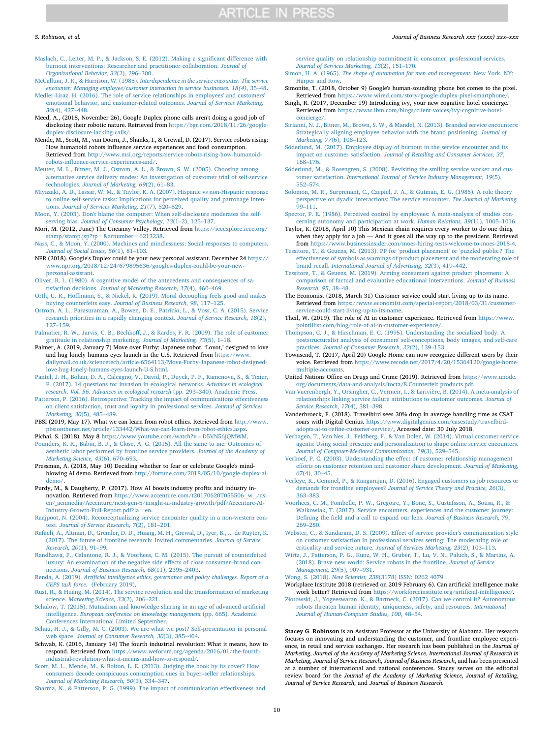[Maslach, C., Leiter, M. P., & Jackson, S. E. \(2012\). Making a significant difference with](http://refhub.elsevier.com/S0148-2963(19)30508-9/rf0315) [burnout interventions: Researcher and practitioner collaboration.](http://refhub.elsevier.com/S0148-2963(19)30508-9/rf0315) *Journal of [Organizational Behavior, 33](http://refhub.elsevier.com/S0148-2963(19)30508-9/rf0315)*(2), 296–300.

McCallum, J. R., & Harrison, W. (1985). *[Interdependence in the service encounter. The service](http://refhub.elsevier.com/S0148-2963(19)30508-9/rf0325) [encounter: Managing employee/customer interaction in service businesses. 18\(4\)](http://refhub.elsevier.com/S0148-2963(19)30508-9/rf0325)*, 35–48.

[Medler-Liraz, H. \(2016\). The role of service relationships in employees' and customers'](http://refhub.elsevier.com/S0148-2963(19)30508-9/rf0330) [emotional behavior, and customer-related outcomes.](http://refhub.elsevier.com/S0148-2963(19)30508-9/rf0330) *Journal of Services Marketing, 30*[\(4\), 437–448.](http://refhub.elsevier.com/S0148-2963(19)30508-9/rf0330)

Meed, A., (2018, November 26), Google Duplex phone calls aren't doing a good job of disclosing their robotic nature. Retrieved from [https://bgr.com/2018/11/26/google](https://bgr.com/2018/11/26/google-duplex-disclosure-lacking-calls/)[duplex-disclosure-lacking-calls/.](https://bgr.com/2018/11/26/google-duplex-disclosure-lacking-calls/)

Mende, M., Scott, M., van Doorn, J., Shanks, I., & Grewal, D. (2017). Service robots rising: How humanoid robots influence service experiences and food consumption. Retrieved from [http://www.msi.org/reports/service-robots-rising-how-humanoid](http://www.msi.org/reports/service-robots-rising-how-humanoid-robots-influence-service-experiences-and/)[robots-influence-service-experiences-and/](http://www.msi.org/reports/service-robots-rising-how-humanoid-robots-influence-service-experiences-and/).

[Meuter, M. L., Bitner, M. J., Ostrom, A. L., & Brown, S. W. \(2005\). Choosing among](http://refhub.elsevier.com/S0148-2963(19)30508-9/rf0340) [alternative service delivery modes: An investigation of customer trial of self-service](http://refhub.elsevier.com/S0148-2963(19)30508-9/rf0340) technologies. *[Journal of Marketing, 69](http://refhub.elsevier.com/S0148-2963(19)30508-9/rf0340)*(2), 61–83.

[Miyazaki, A. D., Lassar, W. M., & Taylor, K. A. \(2007\). Hispanic vs non-Hispanic response](http://refhub.elsevier.com/S0148-2963(19)30508-9/rf0345) [to online self-service tasks: Implications for perceived quality and patronage inten](http://refhub.elsevier.com/S0148-2963(19)30508-9/rf0345)tions. *[Journal of Services Marketing, 21](http://refhub.elsevier.com/S0148-2963(19)30508-9/rf0345)*(7), 520–529.

[Moon, Y. \(2003\). Don't blame the computer: When self-disclosure moderates the self](http://refhub.elsevier.com/S0148-2963(19)30508-9/rf0350)serving bias. *[Journal of Consumer Psychology, 13](http://refhub.elsevier.com/S0148-2963(19)30508-9/rf0350)*(1–2), 125–137.

Mori, M. (2012, June) The Uncanny Valley. Retrieved from [https://ieeexplore.ieee.org/](https://ieeexplore.ieee.org/stamp/stamp.jsp?tp=&arnumber=6213238) [stamp/stamp.jsp?tp=&arnumber=6213238](https://ieeexplore.ieee.org/stamp/stamp.jsp?tp=&arnumber=6213238).

[Nass, C., & Moon, Y. \(2000\). Machines and mindlessness: Social responses to computers.](http://refhub.elsevier.com/S0148-2963(19)30508-9/rf0355) *[Journal of Social Issues, 56](http://refhub.elsevier.com/S0148-2963(19)30508-9/rf0355)*(1), 81–103.

NPR (2018). Google's Duplex could be your new personal assistant. December 24 [https://](https://www.npr.org/2018/12/24/679895636/googles-duplex-could-be-your-new-personal-assistant) [www.npr.org/2018/12/24/679895636/googles-duplex-could-be-your-new](https://www.npr.org/2018/12/24/679895636/googles-duplex-could-be-your-new-personal-assistant)[personal-assistant.](https://www.npr.org/2018/12/24/679895636/googles-duplex-could-be-your-new-personal-assistant)

[Oliver, R. L. \(1980\). A cognitive model of the antecedents and consequences of sa](http://refhub.elsevier.com/S0148-2963(19)30508-9/rf0365)tisfaction decisions. *[Journal of Marketing Research, 17](http://refhub.elsevier.com/S0148-2963(19)30508-9/rf0365)*(4), 460–469.

[Orth, U. R., Hoffmann, S., & Nickel, K. \(2019\). Moral decoupling feels good and makes](http://refhub.elsevier.com/S0148-2963(19)30508-9/rf0370) buying counterfeits easy. *[Journal of Business Research, 98](http://refhub.elsevier.com/S0148-2963(19)30508-9/rf0370)*, 117–125.

[Ostrom, A. L., Parasuraman, A., Bowen, D. E., Patrício, L., & Voss, C. A. \(2015\). Service](http://refhub.elsevier.com/S0148-2963(19)30508-9/rf0375) [research priorities in a rapidly changing context.](http://refhub.elsevier.com/S0148-2963(19)30508-9/rf0375) *Journal of Service Research, 18*(2), [127–159](http://refhub.elsevier.com/S0148-2963(19)30508-9/rf0375).

[Palmatier, R. W., Jarvis, C. B., Bechkoff, J., & Kardes, F. R. \(2009\). The role of customer](http://refhub.elsevier.com/S0148-2963(19)30508-9/rf0380) [gratitude in relationship marketing.](http://refhub.elsevier.com/S0148-2963(19)30508-9/rf0380) *Journal of Marketing, 73*(5), 1–18.

Palmer, A. (2019, January 7) Move over Furby: Japanese robot, 'Lovot,' designed to love and hug lonely humans eyes launch in the U.S. Retrieved from [https://www.](https://www.dailymail.co.uk/sciencetech/article-6564113/Move-Furby-Japanese-robot-designed-love-hug-lonely-humans-eyes-launch-U-S.html) [dailymail.co.uk/sciencetech/article-6564113/Move-Furby-Japanese-robot-designed](https://www.dailymail.co.uk/sciencetech/article-6564113/Move-Furby-Japanese-robot-designed-love-hug-lonely-humans-eyes-launch-U-S.html)[love-hug-lonely-humans-eyes-launch-U-S.html.](https://www.dailymail.co.uk/sciencetech/article-6564113/Move-Furby-Japanese-robot-designed-love-hug-lonely-humans-eyes-launch-U-S.html)

[Pantel, J. H., Bohan, D. A., Calcagno, V., David, P., Duyck, P. F., Kamenova, S., & Tixier,](http://refhub.elsevier.com/S0148-2963(19)30508-9/rf0385) [P. \(2017\). 14 questions for invasion in ecological networks.](http://refhub.elsevier.com/S0148-2963(19)30508-9/rf0385) *Advances in ecological research*. *Vol. 56*. *Advances in ecological research* [\(pp. 293–340\). Academic Press.](http://refhub.elsevier.com/S0148-2963(19)30508-9/rf0385)

[Patterson, P. \(2016\). Retrospective: Tracking the impact of communications effectiveness](http://refhub.elsevier.com/S0148-2963(19)30508-9/rf0390) [on client satisfaction, trust and loyalty in professional services.](http://refhub.elsevier.com/S0148-2963(19)30508-9/rf0390) *Journal of Services [Marketing, 30](http://refhub.elsevier.com/S0148-2963(19)30508-9/rf0390)*(5), 485–489.

PBSI (2019, May 17). What we can learn from robot ethics. Retrieved from [http://www.](http://www.pbsionthenet.net/article/133442/What-we-can-learn-from-robot-ethics.aspx) [pbsionthenet.net/article/133442/What-we-can-learn-from-robot-ethics.aspx](http://www.pbsionthenet.net/article/133442/What-we-can-learn-from-robot-ethics.aspx).

Pichai, S. (2018). May 8 <https://www.youtube.com/watch?v=D5VN56jQMWM>.

[Pounders, K. R., Babin, B. J., & Close, A. G. \(2015\). All the same to me: Outcomes of](http://refhub.elsevier.com/S0148-2963(19)30508-9/rf0400) [aesthetic labor performed by frontline service providers.](http://refhub.elsevier.com/S0148-2963(19)30508-9/rf0400) *Journal of the Academy of [Marketing Science, 43](http://refhub.elsevier.com/S0148-2963(19)30508-9/rf0400)*(6), 670–693.

Pressman, A. (2018, May 10) Deciding whether to fear or celebrate Google's mindblowing AI demo. Retrieved from [http://fortune.com/2018/05/10/google-duplex-ai](http://fortune.com/2018/05/10/google-duplex-ai-demo/)[demo/](http://fortune.com/2018/05/10/google-duplex-ai-demo/).

Purdy, M., & Daugherty, P. (2017). How AI boosts industry profits and industry innovation. Retrieved from https://www.accenture.com/t20170620T055506\_w\_/us[en/\\_acnmedia/Accenture/next-gen-5/insight-ai-industry-growth/pdf/Accenture-AI-](https://www.accenture.com/t20170620T055506__w__/us-en/_acnmedia/Accenture/next-gen-5/insight-ai-industry-growth/pdf/Accenture-AI-Industry-Growth-Full-Report.pdf?la=en)[Industry-Growth-Full-Report.pdf?la=en.](https://www.accenture.com/t20170620T055506__w__/us-en/_acnmedia/Accenture/next-gen-5/insight-ai-industry-growth/pdf/Accenture-AI-Industry-Growth-Full-Report.pdf?la=en)

[Raajpoot, N. \(2004\). Reconceptualizing service encounter quality in a non-western con](http://refhub.elsevier.com/S0148-2963(19)30508-9/rf0410)text. *[Journal of Service Research, 7](http://refhub.elsevier.com/S0148-2963(19)30508-9/rf0410)*(2), 181–201.

[Rafaeli, A., Altman, D., Gremler, D. D., Huang, M. H., Grewal, D., Iyer, B., ... de Ruyter, K.](http://refhub.elsevier.com/S0148-2963(19)30508-9/rf0415) [\(2017\). The future of frontline research: Invited commentaries.](http://refhub.elsevier.com/S0148-2963(19)30508-9/rf0415) *Journal of Service [Research, 20](http://refhub.elsevier.com/S0148-2963(19)30508-9/rf0415)*(1), 91–99.

[Randhawa, P., Calantone, R. J., & Voorhees, C. M. \(2015\). The pursuit of counterfeited](http://refhub.elsevier.com/S0148-2963(19)30508-9/rf0420) [luxury: An examination of the negative side effects of close consumer–brand con](http://refhub.elsevier.com/S0148-2963(19)30508-9/rf0420)nections. *[Journal of Business Research, 68](http://refhub.elsevier.com/S0148-2963(19)30508-9/rf0420)*(11), 2395–2403.

Renda, A. (2019). *[Artificial intelligence ethics, governance and policy challenges. Report of a](http://refhub.elsevier.com/S0148-2963(19)30508-9/rf0425) CEPS task force.* [\(February 2019\).](http://refhub.elsevier.com/S0148-2963(19)30508-9/rf0425)

[Rust, R., & Huang, M. \(2014\). The service revolution and the transformation of marketing](http://refhub.elsevier.com/S0148-2963(19)30508-9/rf0430) science. *[Marketing Science, 33](http://refhub.elsevier.com/S0148-2963(19)30508-9/rf0430)*(2), 206–221.

[Schalow, T. \(2015\). Mutualism and knowledge sharing in an age of advanced artificial](http://refhub.elsevier.com/S0148-2963(19)30508-9/rf0435) intelligence. *[European conference on knowledge management](http://refhub.elsevier.com/S0148-2963(19)30508-9/rf0435)* (pp. 665). Academic [Conferences International Limited September](http://refhub.elsevier.com/S0148-2963(19)30508-9/rf0435).

[Schau, H. J., & Gilly, M. C. \(2003\). We are what we post? Self-presentation in personal](http://refhub.elsevier.com/S0148-2963(19)30508-9/rf0440) web space. *[Journal of Consumer Research, 30](http://refhub.elsevier.com/S0148-2963(19)30508-9/rf0440)*(3), 385–404.

Schwab, K. (2016, January 14) The fourth industrial revolution: What it means, how to respond. Retrieved from [https://www.weforum.org/agenda/2016/01/the-fourth](https://www.weforum.org/agenda/2016/01/the-fourth-industrial-revolution-what-it-means-and-how-to-respond/)[industrial-revolution-what-it-means-and-how-to-respond/.](https://www.weforum.org/agenda/2016/01/the-fourth-industrial-revolution-what-it-means-and-how-to-respond/)

[Scott, M. L., Mende, M., & Bolton, L. E. \(2013\). Judging the book by its cover? How](http://refhub.elsevier.com/S0148-2963(19)30508-9/rf0445) [consumers decode conspicuous consumption cues in buyer–seller relationships.](http://refhub.elsevier.com/S0148-2963(19)30508-9/rf0445) *[Journal of Marketing Research, 50](http://refhub.elsevier.com/S0148-2963(19)30508-9/rf0445)*(3), 334–347.

[Sharma, N., & Patterson, P. G. \(1999\). The impact of communication effectiveness and](http://refhub.elsevier.com/S0148-2963(19)30508-9/rf0455)

[service quality on relationship commitment in consumer, professional services.](http://refhub.elsevier.com/S0148-2963(19)30508-9/rf0455) *[Journal of Services Marketing, 13](http://refhub.elsevier.com/S0148-2963(19)30508-9/rf0455)*(2), 151–170.

Simon, H. A. (1965). *[The shape of automation for men and management.](http://refhub.elsevier.com/S0148-2963(19)30508-9/rf0460)* New York, NY: [Harper and Row](http://refhub.elsevier.com/S0148-2963(19)30508-9/rf0460).

Simonite, T. (2018, October 9) Google's human-sounding phone bot comes to the pixel. Retrieved from <https://www.wired.com/story/google-duplex-pixel-smartphone/>.

Singh, R. (2017, December 19) Introducing ivy, your new cognitive hotel concierge. Retrieved from [https://www.ibm.com/blogs/client-voices/ivy-cognitive-hotel](https://www.ibm.com/blogs/client-voices/ivy-cognitive-hotel-concierge/)[concierge/.](https://www.ibm.com/blogs/client-voices/ivy-cognitive-hotel-concierge/)

[Sirianni, N. J., Bitner, M., Brown, S. W., & Mandel, N. \(2013\). Branded service encounters:](http://refhub.elsevier.com/S0148-2963(19)30508-9/rf0465) [Strategically aligning employee behavior with the brand positioning.](http://refhub.elsevier.com/S0148-2963(19)30508-9/rf0465) *Journal of [Marketing, 77](http://refhub.elsevier.com/S0148-2963(19)30508-9/rf0465)*(6), 108–123.

[Söderlund, M. \(2017\). Employee display of burnout in the service encounter and its](http://refhub.elsevier.com/S0148-2963(19)30508-9/rf0470) impact on customer satisfaction. *[Journal of Retailing and Consumer Services, 37](http://refhub.elsevier.com/S0148-2963(19)30508-9/rf0470)*, [168–176](http://refhub.elsevier.com/S0148-2963(19)30508-9/rf0470).

[Söderlund, M., & Rosengren, S. \(2008\). Revisiting the smiling service worker and cus](http://refhub.elsevier.com/S0148-2963(19)30508-9/rf0475)tomer satisfaction. *[International Journal of Service Industry Management, 19](http://refhub.elsevier.com/S0148-2963(19)30508-9/rf0475)*(5), [552–574](http://refhub.elsevier.com/S0148-2963(19)30508-9/rf0475).

[Solomon, M. R., Surprenant, C., Czepiel, J. A., & Gutman, E. G. \(1985\). A role theory](http://refhub.elsevier.com/S0148-2963(19)30508-9/rf0480) [perspective on dyadic interactions: The service encounter.](http://refhub.elsevier.com/S0148-2963(19)30508-9/rf0480) *The Journal of Marketing,* [99–111.](http://refhub.elsevier.com/S0148-2963(19)30508-9/rf0480)

[Spector, P. E. \(1986\). Perceived control by employees: A meta-analysis of studies con](http://refhub.elsevier.com/S0148-2963(19)30508-9/rf0485)[cerning autonomy and participation at work.](http://refhub.elsevier.com/S0148-2963(19)30508-9/rf0485) *Human Relations, 39*(11), 1005–1016.

Taylor, K. (2018, April 10) This Mexican chain requires every worker to do one thing when they apply for a job — And it goes all the way up to the president. Retrieved from [https://www.businessinsider.com/moes-hiring-tests-welcome-to-moes-2018-4.](https://www.businessinsider.com/moes-hiring-tests-welcome-to-moes-2018-4)

[Tessitore, T., & Geuens, M. \(2013\). PP for 'product placement' or 'puzzled public'? The](http://refhub.elsevier.com/S0148-2963(19)30508-9/rf0490) [effectiveness of symbols as warnings of product placement and the moderating role of](http://refhub.elsevier.com/S0148-2963(19)30508-9/rf0490) brand recall. *[International Journal of Advertising, 32](http://refhub.elsevier.com/S0148-2963(19)30508-9/rf0490)*(3), 419–442.

[Tessitore, T., & Geuens, M. \(2019\). Arming consumers against product placement: A](http://refhub.elsevier.com/S0148-2963(19)30508-9/rf0495) [comparison of factual and evaluative educational interventions.](http://refhub.elsevier.com/S0148-2963(19)30508-9/rf0495) *Journal of Business [Research, 95](http://refhub.elsevier.com/S0148-2963(19)30508-9/rf0495)*, 38–48.

The Economist (2018, March 31) Customer service could start living up to its name. Retrieved from [https://www.economist.com/special-report/2018/03/31/customer](https://www.economist.com/special-report/2018/03/31/customer-service-could-start-living-up-to-its-name)[service-could-start-living-up-to-its-name](https://www.economist.com/special-report/2018/03/31/customer-service-could-start-living-up-to-its-name).

Theil, W. (2019). The role of AI in customer experience. Retrieved from [https://www.](https://www.pointillist.com/blog/role-of-ai-in-customer-experience/) [pointillist.com/blog/role-of-ai-in-customer-experience/.](https://www.pointillist.com/blog/role-of-ai-in-customer-experience/)

[Thompson, C. J., & Hirschman, E. C. \(1995\). Understanding the socialized body: A](http://refhub.elsevier.com/S0148-2963(19)30508-9/rf0505) [poststructuralist analysis of consumers' self-conceptions, body images, and self-care](http://refhub.elsevier.com/S0148-2963(19)30508-9/rf0505) practices. *[Journal of Consumer Research, 22](http://refhub.elsevier.com/S0148-2963(19)30508-9/rf0505)*(2), 139–153.

Townsend, T. (2017, April 20) Google Home can now recognize different users by their voice. Retrieved from [https://www.recode.net/2017/4/20/15364120/google-home](https://www.recode.net/2017/4/20/15364120/google-home-multiple-accounts)[multiple-accounts.](https://www.recode.net/2017/4/20/15364120/google-home-multiple-accounts)

United Nations Office on Drugs and Crime (2019). Retrieved from [https://www.unodc.](https://www.unodc.org/documents/data-and-analysis/tocta/8.Counterfeit_products.pdf) [org/documents/data-and-analysis/tocta/8.Counterfeit\\_products.pdf.](https://www.unodc.org/documents/data-and-analysis/tocta/8.Counterfeit_products.pdf)

[Van Vaerenbergh, Y., Orsingher, C., Vermeir, I., & Larivière, B. \(2014\). A meta-analysis of](http://refhub.elsevier.com/S0148-2963(19)30508-9/rf0520) [relationships linking service failure attributions to customer outcomes.](http://refhub.elsevier.com/S0148-2963(19)30508-9/rf0520) *Journal of [Service Research, 17](http://refhub.elsevier.com/S0148-2963(19)30508-9/rf0520)*(4), 381–398.

Vanderbroeck, F. (2018). Travelbird sees 30% drop in average handling time as CSAT soars with Digital Genius. [https://www.digitalgenius.com/casestudy/travelbird](https://www.digitalgenius.com/casestudy/travelbird-adopts-ai-to-refine-customer-service/)[adopts-ai-to-refine-customer-service/](https://www.digitalgenius.com/casestudy/travelbird-adopts-ai-to-refine-customer-service/), Accessed date: 30 July 2018.

[Verhagen, T., Van Nes, J., Feldberg, F., & Van Dolen, W. \(2014\). Virtual customer service](http://refhub.elsevier.com/S0148-2963(19)30508-9/rf0530) [agents: Using social presence and personalization to shape online service encounters.](http://refhub.elsevier.com/S0148-2963(19)30508-9/rf0530) *[Journal of Computer-Mediated Communication, 19](http://refhub.elsevier.com/S0148-2963(19)30508-9/rf0530)*(3), 529–545.

[Verhoef, P. C. \(2003\). Understanding the effect of customer relationship management](http://refhub.elsevier.com/S0148-2963(19)30508-9/rf0535) [efforts on customer retention and customer share development.](http://refhub.elsevier.com/S0148-2963(19)30508-9/rf0535) *Journal of Marketing, 67*[\(4\), 30–45](http://refhub.elsevier.com/S0148-2963(19)30508-9/rf0535).

[Verleye, K., Gemmel, P., & Rangarajan, D. \(2016\). Engaged customers as job resources or](http://refhub.elsevier.com/S0148-2963(19)30508-9/rf0540) demands for frontline employees? *[Journal of Service Theory and Practice, 26](http://refhub.elsevier.com/S0148-2963(19)30508-9/rf0540)*(3), [363–383](http://refhub.elsevier.com/S0148-2963(19)30508-9/rf0540).

[Voorhees, C. M., Fombelle, P. W., Gregoire, Y., Bone, S., Gustafsson, A., Sousa, R., &](http://refhub.elsevier.com/S0148-2963(19)30508-9/rf0545) [Walkowiak, T. \(2017\). Service encounters, experiences and the customer journey:](http://refhub.elsevier.com/S0148-2963(19)30508-9/rf0545) [Defining the field and a call to expand our lens.](http://refhub.elsevier.com/S0148-2963(19)30508-9/rf0545) *Journal of Business Research, 79*, [269–280](http://refhub.elsevier.com/S0148-2963(19)30508-9/rf0545).

[Webster, C., & Sundaram, D. S. \(2009\). Effect of service provider's communication style](http://refhub.elsevier.com/S0148-2963(19)30508-9/rf0550) [on customer satisfaction in professional services setting: The moderating role of](http://refhub.elsevier.com/S0148-2963(19)30508-9/rf0550) criticality and service nature. *[Journal of Services Marketing, 23](http://refhub.elsevier.com/S0148-2963(19)30508-9/rf0550)*(2), 103–113.

[Wirtz, J., Patterson, P. G., Kunz, W. H., Gruber, T., Lu, V. N., Paluch, S., & Martins, A.](http://refhub.elsevier.com/S0148-2963(19)30508-9/rf0555) [\(2018\). Brave new world: Service robots in the frontline.](http://refhub.elsevier.com/S0148-2963(19)30508-9/rf0555) *Journal of Service [Management, 29](http://refhub.elsevier.com/S0148-2963(19)30508-9/rf0555)*(5), 907–931.

Wong, S. (2018). *New Scientist, 238*[\(3178\) ISSN: 0262 4079.](http://refhub.elsevier.com/S0148-2963(19)30508-9/rf0560)

Workplace Institute 2018 (retrieved on 2019 February 6). Can artificial intelligence make work better? Retrieved from [https://workforceinstitute.org/artificial-intelligence/.](https://workforceinstitute.org/artificial-intelligence/)

[Złotowski, J., Yogeeswaran, K., & Bartneck, C. \(2017\). Can we control it? Autonomous](http://refhub.elsevier.com/S0148-2963(19)30508-9/rf0570) [robots threaten human identity, uniqueness, safety, and resources.](http://refhub.elsevier.com/S0148-2963(19)30508-9/rf0570) *International [Journal of Human-Computer Studies, 100](http://refhub.elsevier.com/S0148-2963(19)30508-9/rf0570)*, 48–54.

**Stacey G**. **Robinson** is an Assistant Professor at the University of Alabama. Her research focuses on innovating and understanding the customer, and frontline employee experience, in retail and service exchanges. Her research has been published in the *Journal of Marketing*, *Journal of the Academy of Marketing Science*, *International Journal of Research in Marketing*, *Journal of Service Research*, *Journal of Business Research*, and has been presented at a number of international and national conferences. Stacey serves on the editorial review board for the *Journal of the Academy of Marketing Science*, *Journal of Retailing*, *Journal of Service Research*, and *Journal of Business Research*.